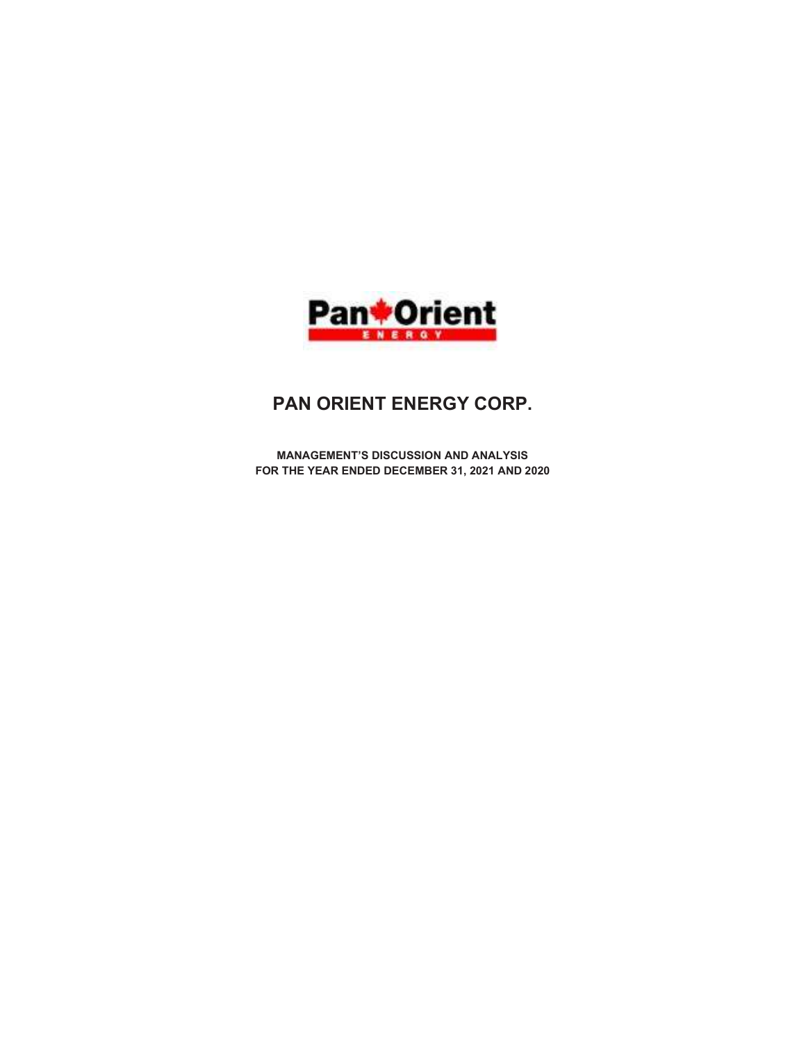

# PAN ORIENT ENERGY CORP.

MANAGEMENT'S DISCUSSION AND ANALYSIS FOR THE YEAR ENDED DECEMBER 31, 2021 AND 2020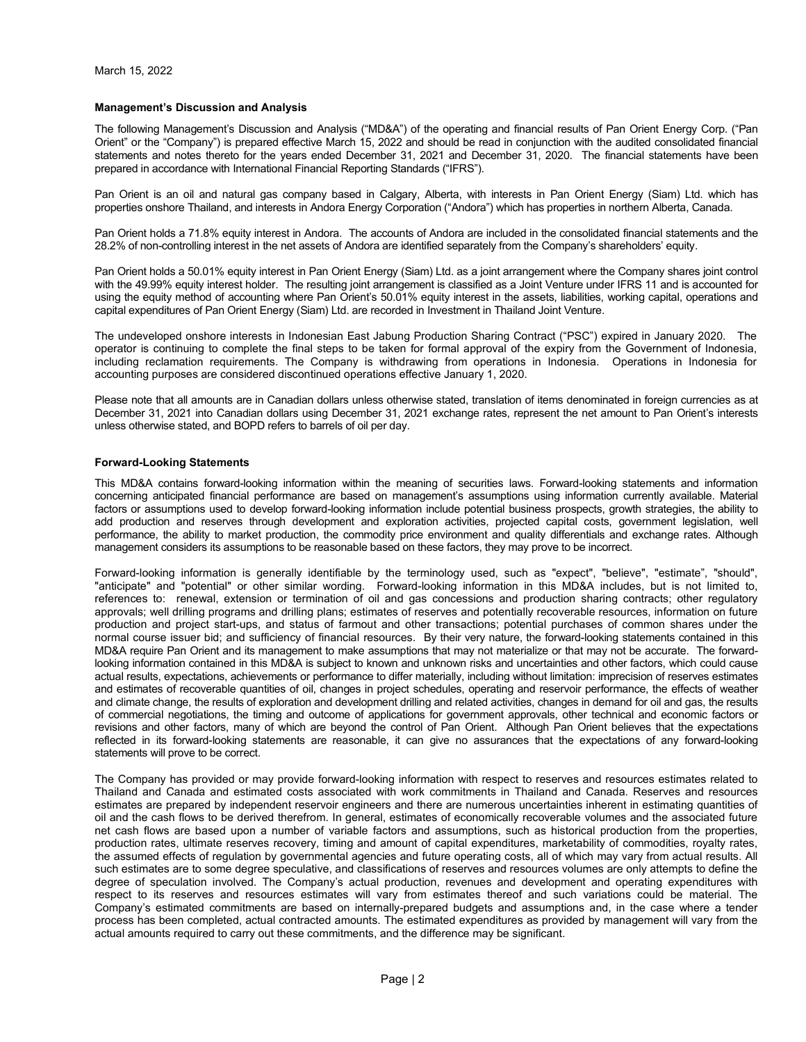#### Management's Discussion and Analysis

The following Management's Discussion and Analysis ("MD&A") of the operating and financial results of Pan Orient Energy Corp. ("Pan Orient" or the "Company") is prepared effective March 15, 2022 and should be read in conjunction with the audited consolidated financial statements and notes thereto for the years ended December 31, 2021 and December 31, 2020. The financial statements have been prepared in accordance with International Financial Reporting Standards ("IFRS").

Pan Orient is an oil and natural gas company based in Calgary, Alberta, with interests in Pan Orient Energy (Siam) Ltd. which has properties onshore Thailand, and interests in Andora Energy Corporation ("Andora") which has properties in northern Alberta, Canada.

Pan Orient holds a 71.8% equity interest in Andora. The accounts of Andora are included in the consolidated financial statements and the 28.2% of non-controlling interest in the net assets of Andora are identified separately from the Company's shareholders' equity.

Pan Orient holds a 50.01% equity interest in Pan Orient Energy (Siam) Ltd. as a joint arrangement where the Company shares joint control with the 49.99% equity interest holder. The resulting joint arrangement is classified as a Joint Venture under IFRS 11 and is accounted for using the equity method of accounting where Pan Orient's 50.01% equity interest in the assets, liabilities, working capital, operations and capital expenditures of Pan Orient Energy (Siam) Ltd. are recorded in Investment in Thailand Joint Venture.

The undeveloped onshore interests in Indonesian East Jabung Production Sharing Contract ("PSC") expired in January 2020. The operator is continuing to complete the final steps to be taken for formal approval of the expiry from the Government of Indonesia, including reclamation requirements. The Company is withdrawing from operations in Indonesia. Operations in Indonesia for accounting purposes are considered discontinued operations effective January 1, 2020.

Please note that all amounts are in Canadian dollars unless otherwise stated, translation of items denominated in foreign currencies as at December 31, 2021 into Canadian dollars using December 31, 2021 exchange rates, represent the net amount to Pan Orient's interests unless otherwise stated, and BOPD refers to barrels of oil per day.

#### Forward-Looking Statements

This MD&A contains forward-looking information within the meaning of securities laws. Forward-looking statements and information concerning anticipated financial performance are based on management's assumptions using information currently available. Material factors or assumptions used to develop forward-looking information include potential business prospects, growth strategies, the ability to add production and reserves through development and exploration activities, projected capital costs, government legislation, well performance, the ability to market production, the commodity price environment and quality differentials and exchange rates. Although management considers its assumptions to be reasonable based on these factors, they may prove to be incorrect.

Forward-looking information is generally identifiable by the terminology used, such as "expect", "believe", "estimate", "should", "anticipate" and "potential" or other similar wording. Forward-looking information in this MD&A includes, but is not limited to, references to: renewal, extension or termination of oil and gas concessions and production sharing contracts; other regulatory approvals; well drilling programs and drilling plans; estimates of reserves and potentially recoverable resources, information on future production and project start-ups, and status of farmout and other transactions; potential purchases of common shares under the normal course issuer bid; and sufficiency of financial resources. By their very nature, the forward-looking statements contained in this MD&A require Pan Orient and its management to make assumptions that may not materialize or that may not be accurate. The forwardlooking information contained in this MD&A is subject to known and unknown risks and uncertainties and other factors, which could cause actual results, expectations, achievements or performance to differ materially, including without limitation: imprecision of reserves estimates and estimates of recoverable quantities of oil, changes in project schedules, operating and reservoir performance, the effects of weather and climate change, the results of exploration and development drilling and related activities, changes in demand for oil and gas, the results of commercial negotiations, the timing and outcome of applications for government approvals, other technical and economic factors or revisions and other factors, many of which are beyond the control of Pan Orient. Although Pan Orient believes that the expectations reflected in its forward-looking statements are reasonable, it can give no assurances that the expectations of any forward-looking statements will prove to be correct.

The Company has provided or may provide forward-looking information with respect to reserves and resources estimates related to Thailand and Canada and estimated costs associated with work commitments in Thailand and Canada. Reserves and resources estimates are prepared by independent reservoir engineers and there are numerous uncertainties inherent in estimating quantities of oil and the cash flows to be derived therefrom. In general, estimates of economically recoverable volumes and the associated future net cash flows are based upon a number of variable factors and assumptions, such as historical production from the properties, production rates, ultimate reserves recovery, timing and amount of capital expenditures, marketability of commodities, royalty rates, the assumed effects of regulation by governmental agencies and future operating costs, all of which may vary from actual results. All such estimates are to some degree speculative, and classifications of reserves and resources volumes are only attempts to define the degree of speculation involved. The Company's actual production, revenues and development and operating expenditures with respect to its reserves and resources estimates will vary from estimates thereof and such variations could be material. The Company's estimated commitments are based on internally-prepared budgets and assumptions and, in the case where a tender process has been completed, actual contracted amounts. The estimated expenditures as provided by management will vary from the actual amounts required to carry out these commitments, and the difference may be significant.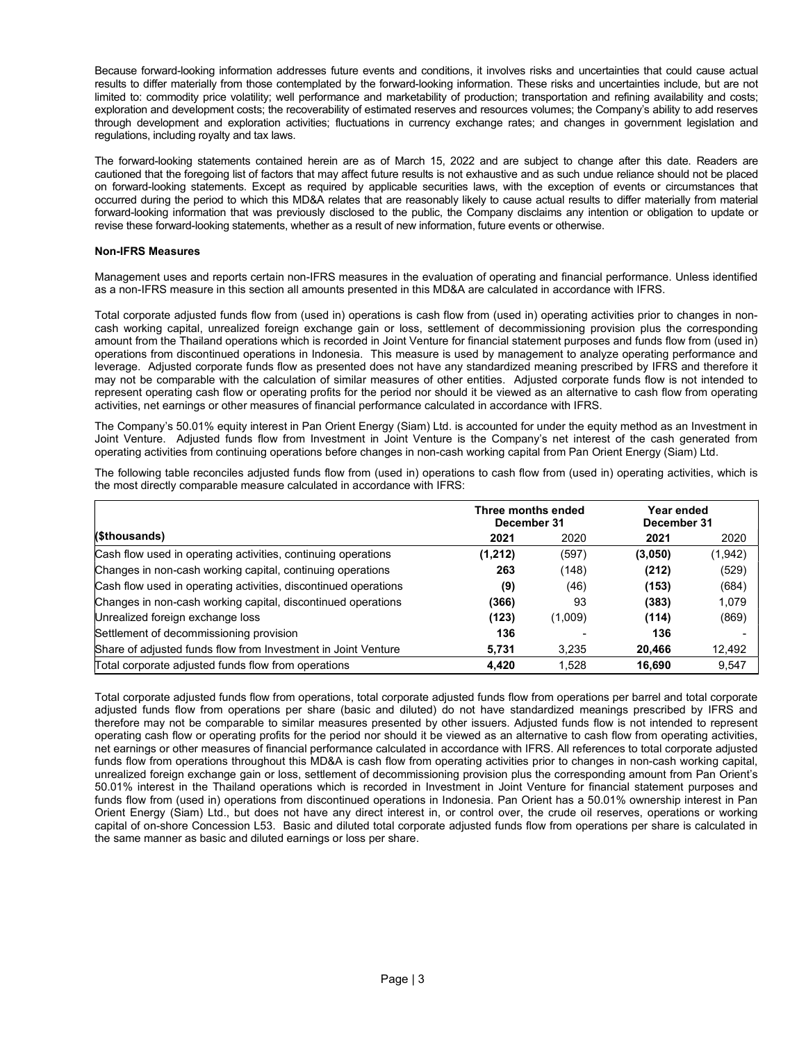Because forward-looking information addresses future events and conditions, it involves risks and uncertainties that could cause actual results to differ materially from those contemplated by the forward-looking information. These risks and uncertainties include, but are not limited to: commodity price volatility; well performance and marketability of production; transportation and refining availability and costs; exploration and development costs; the recoverability of estimated reserves and resources volumes; the Company's ability to add reserves through development and exploration activities; fluctuations in currency exchange rates; and changes in government legislation and regulations, including royalty and tax laws.

The forward-looking statements contained herein are as of March 15, 2022 and are subject to change after this date. Readers are cautioned that the foregoing list of factors that may affect future results is not exhaustive and as such undue reliance should not be placed on forward-looking statements. Except as required by applicable securities laws, with the exception of events or circumstances that occurred during the period to which this MD&A relates that are reasonably likely to cause actual results to differ materially from material forward-looking information that was previously disclosed to the public, the Company disclaims any intention or obligation to update or revise these forward-looking statements, whether as a result of new information, future events or otherwise.

## Non-IFRS Measures

Management uses and reports certain non-IFRS measures in the evaluation of operating and financial performance. Unless identified as a non-IFRS measure in this section all amounts presented in this MD&A are calculated in accordance with IFRS.

Total corporate adjusted funds flow from (used in) operations is cash flow from (used in) operating activities prior to changes in noncash working capital, unrealized foreign exchange gain or loss, settlement of decommissioning provision plus the corresponding amount from the Thailand operations which is recorded in Joint Venture for financial statement purposes and funds flow from (used in) operations from discontinued operations in Indonesia. This measure is used by management to analyze operating performance and leverage. Adjusted corporate funds flow as presented does not have any standardized meaning prescribed by IFRS and therefore it may not be comparable with the calculation of similar measures of other entities. Adjusted corporate funds flow is not intended to represent operating cash flow or operating profits for the period nor should it be viewed as an alternative to cash flow from operating activities, net earnings or other measures of financial performance calculated in accordance with IFRS.

The Company's 50.01% equity interest in Pan Orient Energy (Siam) Ltd. is accounted for under the equity method as an Investment in Joint Venture. Adjusted funds flow from Investment in Joint Venture is the Company's net interest of the cash generated from operating activities from continuing operations before changes in non-cash working capital from Pan Orient Energy (Siam) Ltd.

The following table reconciles adjusted funds flow from (used in) operations to cash flow from (used in) operating activities, which is the most directly comparable measure calculated in accordance with IFRS:

|                                                                 | Three months ended<br>December 31 |         | Year ended<br>December 31 |         |
|-----------------------------------------------------------------|-----------------------------------|---------|---------------------------|---------|
| (\$thousands)                                                   | 2021                              | 2020    | 2021                      | 2020    |
| Cash flow used in operating activities, continuing operations   | (1,212)                           | (597)   | (3,050)                   | (1,942) |
| Changes in non-cash working capital, continuing operations      | 263                               | (148)   | (212)                     | (529)   |
| Cash flow used in operating activities, discontinued operations | (9)                               | (46)    | (153)                     | (684)   |
| Changes in non-cash working capital, discontinued operations    | (366)                             | 93      | (383)                     | 1,079   |
| Unrealized foreign exchange loss                                | (123)                             | (1,009) | (114)                     | (869)   |
| Settlement of decommissioning provision                         | 136                               |         | 136                       |         |
| Share of adjusted funds flow from Investment in Joint Venture   | 5,731                             | 3.235   | 20,466                    | 12,492  |
| Total corporate adjusted funds flow from operations             | 4,420                             | 1.528   | 16,690                    | 9,547   |

Total corporate adjusted funds flow from operations, total corporate adjusted funds flow from operations per barrel and total corporate adjusted funds flow from operations per share (basic and diluted) do not have standardized meanings prescribed by IFRS and therefore may not be comparable to similar measures presented by other issuers. Adjusted funds flow is not intended to represent operating cash flow or operating profits for the period nor should it be viewed as an alternative to cash flow from operating activities, net earnings or other measures of financial performance calculated in accordance with IFRS. All references to total corporate adjusted funds flow from operations throughout this MD&A is cash flow from operating activities prior to changes in non-cash working capital, unrealized foreign exchange gain or loss, settlement of decommissioning provision plus the corresponding amount from Pan Orient's 50.01% interest in the Thailand operations which is recorded in Investment in Joint Venture for financial statement purposes and funds flow from (used in) operations from discontinued operations in Indonesia. Pan Orient has a 50.01% ownership interest in Pan Orient Energy (Siam) Ltd., but does not have any direct interest in, or control over, the crude oil reserves, operations or working capital of on-shore Concession L53. Basic and diluted total corporate adjusted funds flow from operations per share is calculated in the same manner as basic and diluted earnings or loss per share.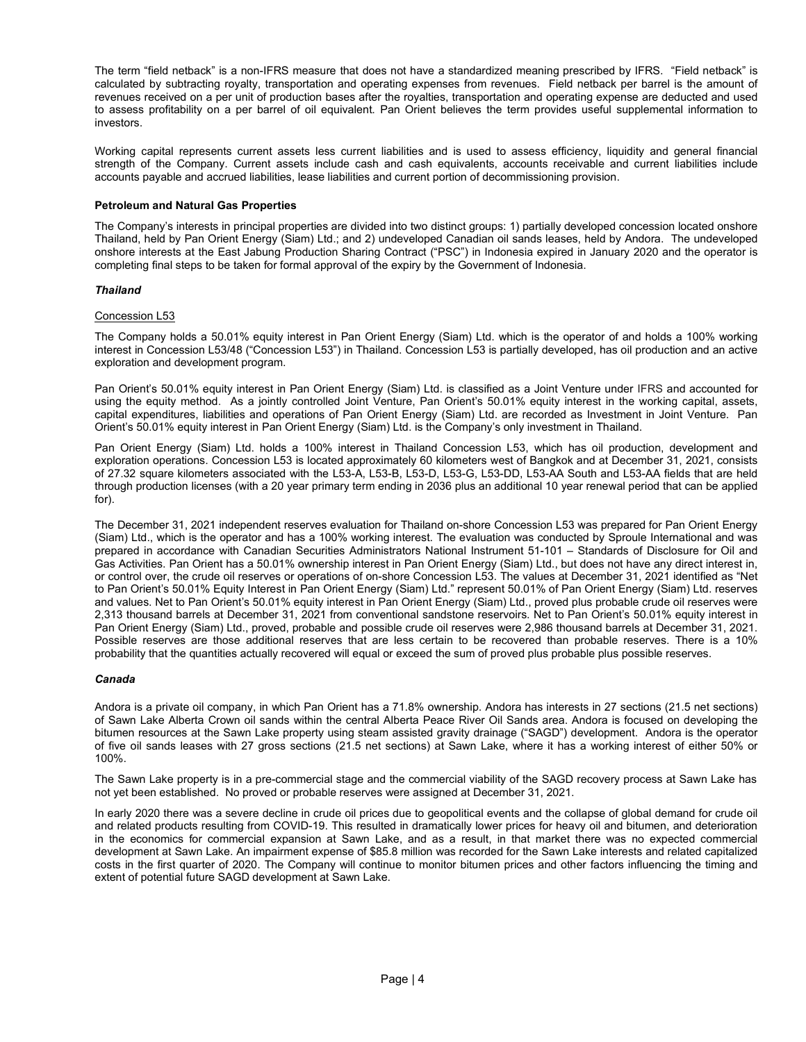The term "field netback" is a non-IFRS measure that does not have a standardized meaning prescribed by IFRS. "Field netback" is calculated by subtracting royalty, transportation and operating expenses from revenues. Field netback per barrel is the amount of revenues received on a per unit of production bases after the royalties, transportation and operating expense are deducted and used to assess profitability on a per barrel of oil equivalent. Pan Orient believes the term provides useful supplemental information to investors.

Working capital represents current assets less current liabilities and is used to assess efficiency, liquidity and general financial strength of the Company. Current assets include cash and cash equivalents, accounts receivable and current liabilities include accounts payable and accrued liabilities, lease liabilities and current portion of decommissioning provision.

## Petroleum and Natural Gas Properties

The Company's interests in principal properties are divided into two distinct groups: 1) partially developed concession located onshore Thailand, held by Pan Orient Energy (Siam) Ltd.; and 2) undeveloped Canadian oil sands leases, held by Andora. The undeveloped onshore interests at the East Jabung Production Sharing Contract ("PSC") in Indonesia expired in January 2020 and the operator is completing final steps to be taken for formal approval of the expiry by the Government of Indonesia.

## Thailand

## Concession L53

The Company holds a 50.01% equity interest in Pan Orient Energy (Siam) Ltd. which is the operator of and holds a 100% working interest in Concession L53/48 ("Concession L53") in Thailand. Concession L53 is partially developed, has oil production and an active exploration and development program.

Pan Orient's 50.01% equity interest in Pan Orient Energy (Siam) Ltd. is classified as a Joint Venture under IFRS and accounted for using the equity method. As a jointly controlled Joint Venture, Pan Orient's 50.01% equity interest in the working capital, assets, capital expenditures, liabilities and operations of Pan Orient Energy (Siam) Ltd. are recorded as Investment in Joint Venture. Pan Orient's 50.01% equity interest in Pan Orient Energy (Siam) Ltd. is the Company's only investment in Thailand.

Pan Orient Energy (Siam) Ltd. holds a 100% interest in Thailand Concession L53, which has oil production, development and exploration operations. Concession L53 is located approximately 60 kilometers west of Bangkok and at December 31, 2021, consists of 27.32 square kilometers associated with the L53-A, L53-B, L53-D, L53-G, L53-DD, L53-AA South and L53-AA fields that are held through production licenses (with a 20 year primary term ending in 2036 plus an additional 10 year renewal period that can be applied for).

The December 31, 2021 independent reserves evaluation for Thailand on-shore Concession L53 was prepared for Pan Orient Energy (Siam) Ltd., which is the operator and has a 100% working interest. The evaluation was conducted by Sproule International and was prepared in accordance with Canadian Securities Administrators National Instrument 51-101 – Standards of Disclosure for Oil and Gas Activities. Pan Orient has a 50.01% ownership interest in Pan Orient Energy (Siam) Ltd., but does not have any direct interest in, or control over, the crude oil reserves or operations of on-shore Concession L53. The values at December 31, 2021 identified as "Net to Pan Orient's 50.01% Equity Interest in Pan Orient Energy (Siam) Ltd." represent 50.01% of Pan Orient Energy (Siam) Ltd. reserves and values. Net to Pan Orient's 50.01% equity interest in Pan Orient Energy (Siam) Ltd., proved plus probable crude oil reserves were 2,313 thousand barrels at December 31, 2021 from conventional sandstone reservoirs. Net to Pan Orient's 50.01% equity interest in Pan Orient Energy (Siam) Ltd., proved, probable and possible crude oil reserves were 2,986 thousand barrels at December 31, 2021. Possible reserves are those additional reserves that are less certain to be recovered than probable reserves. There is a 10% probability that the quantities actually recovered will equal or exceed the sum of proved plus probable plus possible reserves.

## Canada

Andora is a private oil company, in which Pan Orient has a 71.8% ownership. Andora has interests in 27 sections (21.5 net sections) of Sawn Lake Alberta Crown oil sands within the central Alberta Peace River Oil Sands area. Andora is focused on developing the bitumen resources at the Sawn Lake property using steam assisted gravity drainage ("SAGD") development. Andora is the operator of five oil sands leases with 27 gross sections (21.5 net sections) at Sawn Lake, where it has a working interest of either 50% or 100%.

The Sawn Lake property is in a pre-commercial stage and the commercial viability of the SAGD recovery process at Sawn Lake has not yet been established. No proved or probable reserves were assigned at December 31, 2021.

In early 2020 there was a severe decline in crude oil prices due to geopolitical events and the collapse of global demand for crude oil and related products resulting from COVID-19. This resulted in dramatically lower prices for heavy oil and bitumen, and deterioration in the economics for commercial expansion at Sawn Lake, and as a result, in that market there was no expected commercial development at Sawn Lake. An impairment expense of \$85.8 million was recorded for the Sawn Lake interests and related capitalized costs in the first quarter of 2020. The Company will continue to monitor bitumen prices and other factors influencing the timing and extent of potential future SAGD development at Sawn Lake.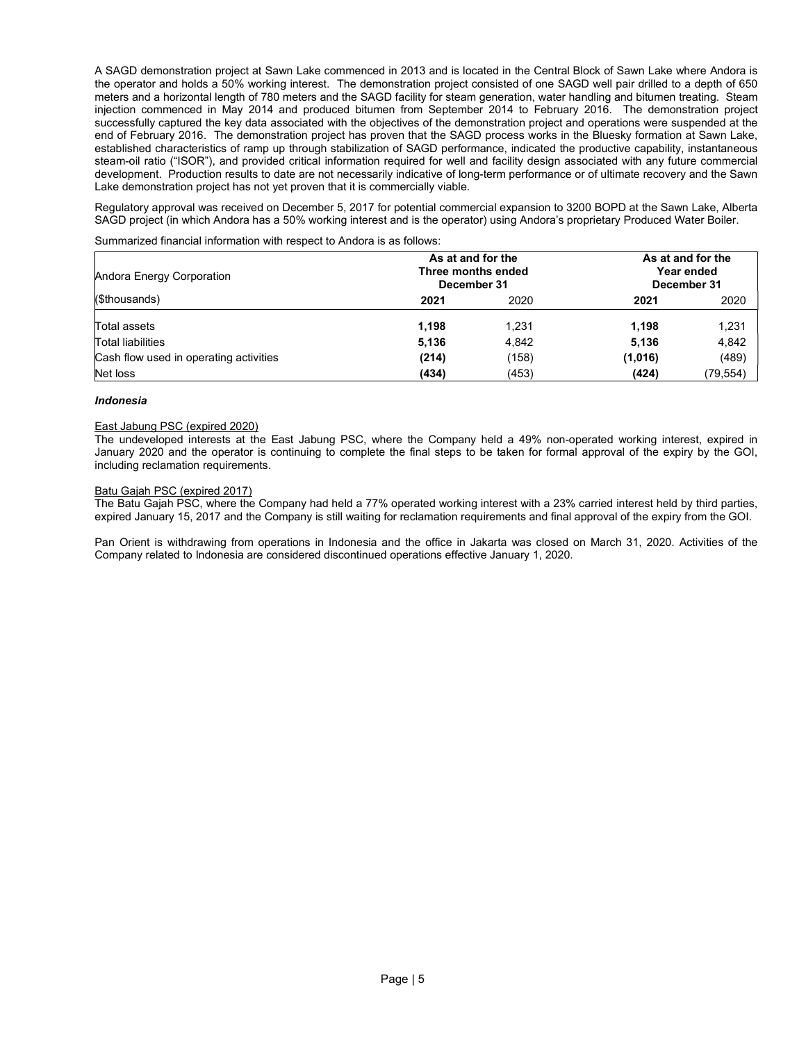A SAGD demonstration project at Sawn Lake commenced in 2013 and is located in the Central Block of Sawn Lake where Andora is the operator and holds a 50% working interest. The demonstration project consisted of one SAGD well pair drilled to a depth of 650 meters and a horizontal length of 780 meters and the SAGD facility for steam generation, water handling and bitumen treating. Steam injection commenced in May 2014 and produced bitumen from September 2014 to February 2016. The demonstration project successfully captured the key data associated with the objectives of the demonstration project and operations were suspended at the end of February 2016. The demonstration project has proven that the SAGD process works in the Bluesky formation at Sawn Lake, established characteristics of ramp up through stabilization of SAGD performance, indicated the productive capability, instantaneous steam-oil ratio ("ISOR"), and provided critical information required for well and facility design associated with any future commercial development. Production results to date are not necessarily indicative of long-term performance or of ultimate recovery and the Sawn Lake demonstration project has not yet proven that it is commercially viable.

Regulatory approval was received on December 5, 2017 for potential commercial expansion to 3200 BOPD at the Sawn Lake, Alberta SAGD project (in which Andora has a 50% working interest and is the operator) using Andora's proprietary Produced Water Boiler.

Summarized financial information with respect to Andora is as follows:

| Andora Energy Corporation              |       | As at and for the<br>Three months ended<br>December 31 |         | As at and for the<br>Year ended<br>December 31 |
|----------------------------------------|-------|--------------------------------------------------------|---------|------------------------------------------------|
| (\$thousands)                          | 2021  | 2020                                                   |         | 2020                                           |
| Total assets                           | 1.198 | 1,231                                                  | 1.198   | 1,231                                          |
| Total liabilities                      | 5,136 | 4,842                                                  | 5,136   | 4,842                                          |
| Cash flow used in operating activities | (214) | (158)                                                  | (1,016) | (489)                                          |
| Net loss                               | (434) | (453)                                                  | (424)   | (79, 554)                                      |

## Indonesia

## East Jabung PSC (expired 2020)

The undeveloped interests at the East Jabung PSC, where the Company held a 49% non-operated working interest, expired in January 2020 and the operator is continuing to complete the final steps to be taken for formal approval of the expiry by the GOI, including reclamation requirements.

## Batu Gajah PSC (expired 2017)

The Batu Gajah PSC, where the Company had held a 77% operated working interest with a 23% carried interest held by third parties, expired January 15, 2017 and the Company is still waiting for reclamation requirements and final approval of the expiry from the GOI.

Pan Orient is withdrawing from operations in Indonesia and the office in Jakarta was closed on March 31, 2020. Activities of the Company related to Indonesia are considered discontinued operations effective January 1, 2020.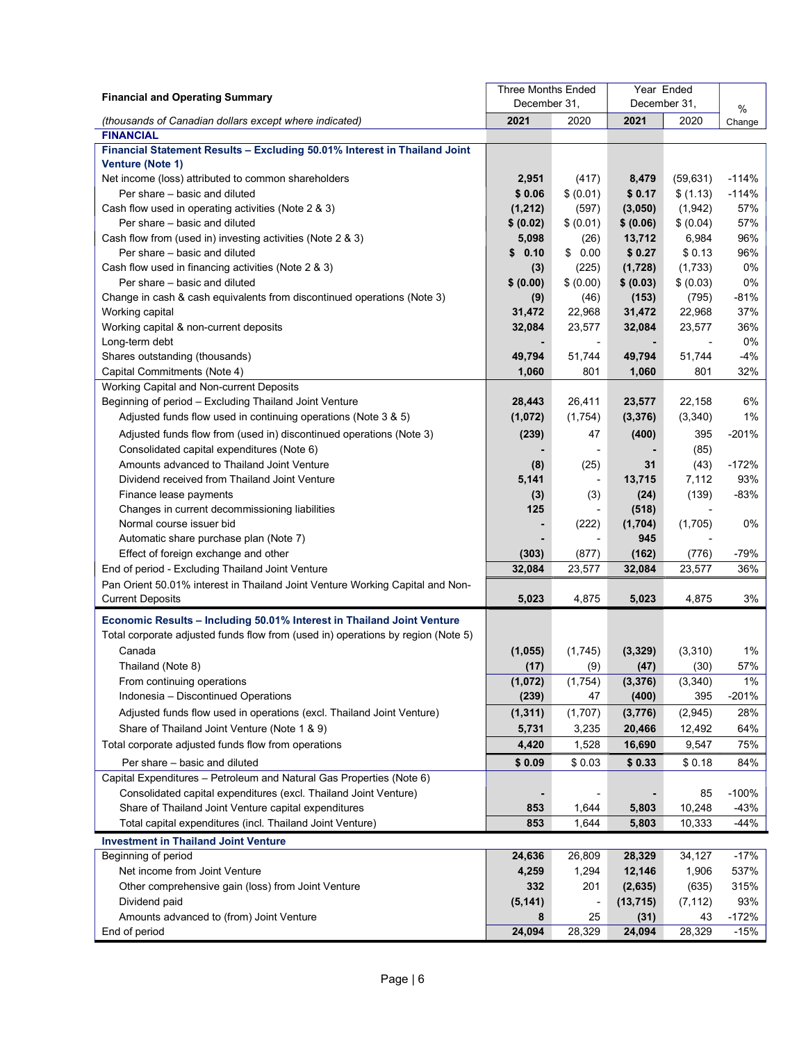| <b>Financial and Operating Summary</b>                                           | <b>Three Months Ended</b> |                          | Year Ended   |           |         |
|----------------------------------------------------------------------------------|---------------------------|--------------------------|--------------|-----------|---------|
|                                                                                  | December 31,              |                          | December 31, | %         |         |
| (thousands of Canadian dollars except where indicated)                           | 2021                      | 2020                     | 2021         | 2020      | Change  |
| <b>FINANCIAL</b>                                                                 |                           |                          |              |           |         |
| Financial Statement Results - Excluding 50.01% Interest in Thailand Joint        |                           |                          |              |           |         |
| <b>Venture (Note 1)</b>                                                          |                           |                          |              |           |         |
| Net income (loss) attributed to common shareholders                              | 2,951                     | (417)                    | 8,479        | (59, 631) | $-114%$ |
| Per share – basic and diluted                                                    | \$0.06                    | \$ (0.01)                | \$0.17       | \$(1.13)  | $-114%$ |
| Cash flow used in operating activities (Note 2 & 3)                              | (1, 212)                  | (597)                    | (3,050)      | (1, 942)  | 57%     |
| Per share – basic and diluted                                                    | \$ (0.02)                 | \$ (0.01)                | \$ (0.06)    | \$ (0.04) | 57%     |
| Cash flow from (used in) investing activities (Note 2 & 3)                       | 5,098                     | (26)                     | 13,712       | 6,984     | 96%     |
| Per share - basic and diluted                                                    | 0.10<br>\$                | \$0.00                   | \$0.27       | \$0.13    | 96%     |
| Cash flow used in financing activities (Note 2 & 3)                              | (3)                       | (225)                    | (1,728)      | (1,733)   | 0%      |
| Per share - basic and diluted                                                    | \$ (0.00)                 | \$ (0.00)                | \$ (0.03)    | \$ (0.03) | 0%      |
| Change in cash & cash equivalents from discontinued operations (Note 3)          | (9)                       | (46)                     | (153)        | (795)     | $-81%$  |
| Working capital                                                                  | 31,472                    | 22,968                   | 31,472       | 22,968    | 37%     |
| Working capital & non-current deposits                                           | 32,084                    | 23,577                   | 32,084       | 23,577    | 36%     |
| Long-term debt                                                                   |                           |                          |              |           | 0%      |
| Shares outstanding (thousands)                                                   | 49,794                    | 51,744                   | 49,794       | 51,744    | $-4%$   |
| Capital Commitments (Note 4)                                                     | 1,060                     | 801                      | 1,060        | 801       | 32%     |
| Working Capital and Non-current Deposits                                         |                           |                          |              |           |         |
| Beginning of period - Excluding Thailand Joint Venture                           | 28,443                    | 26,411                   | 23,577       | 22,158    | 6%      |
| Adjusted funds flow used in continuing operations (Note 3 & 5)                   | (1,072)                   | (1,754)                  | (3, 376)     | (3,340)   | 1%      |
| Adjusted funds flow from (used in) discontinued operations (Note 3)              | (239)                     | 47                       | (400)        | 395       | $-201%$ |
| Consolidated capital expenditures (Note 6)                                       |                           | $\overline{\phantom{a}}$ |              | (85)      |         |
| Amounts advanced to Thailand Joint Venture                                       | (8)                       | (25)                     | 31           | (43)      | $-172%$ |
| Dividend received from Thailand Joint Venture                                    | 5,141                     | $\overline{\phantom{a}}$ | 13,715       | 7,112     | 93%     |
| Finance lease payments                                                           | (3)                       | (3)                      | (24)         | (139)     | $-83%$  |
| Changes in current decommissioning liabilities                                   | 125                       | $\overline{\phantom{a}}$ | (518)        |           |         |
| Normal course issuer bid                                                         |                           | (222)                    | (1,704)      | (1,705)   | 0%      |
| Automatic share purchase plan (Note 7)                                           |                           | $\blacksquare$           | 945          |           |         |
| Effect of foreign exchange and other                                             | (303)                     | (877)                    | (162)        | (776)     | $-79%$  |
| End of period - Excluding Thailand Joint Venture                                 | 32,084                    | 23,577                   | 32,084       | 23,577    | 36%     |
| Pan Orient 50.01% interest in Thailand Joint Venture Working Capital and Non-    |                           |                          |              |           |         |
| <b>Current Deposits</b>                                                          | 5,023                     | 4,875                    | 5,023        | 4,875     | 3%      |
| Economic Results - Including 50.01% Interest in Thailand Joint Venture           |                           |                          |              |           |         |
| Total corporate adjusted funds flow from (used in) operations by region (Note 5) |                           |                          |              |           |         |
| Canada                                                                           | (1,055)                   | (1,745)                  | (3, 329)     | (3,310)   | 1%      |
| Thailand (Note 8)                                                                | (17)                      | (9)                      | (47)         | (30)      | 57%     |
| From continuing operations                                                       | (1,072)                   | (1,754)                  | (3, 376)     | (3,340)   | 1%      |
| Indonesia - Discontinued Operations                                              | (239)                     | 47                       | (400)        | 395       | $-201%$ |
| Adjusted funds flow used in operations (excl. Thailand Joint Venture)            | (1, 311)                  | (1,707)                  | (3,776)      | (2,945)   | 28%     |
| Share of Thailand Joint Venture (Note 1 & 9)                                     | 5,731                     | 3,235                    | 20,466       | 12,492    | 64%     |
|                                                                                  |                           |                          |              |           |         |
| Total corporate adjusted funds flow from operations                              | 4,420                     | 1,528                    | 16,690       | 9,547     | 75%     |
| Per share - basic and diluted                                                    | \$0.09                    | \$0.03                   | \$0.33       | \$0.18    | 84%     |
| Capital Expenditures - Petroleum and Natural Gas Properties (Note 6)             |                           |                          |              |           |         |
| Consolidated capital expenditures (excl. Thailand Joint Venture)                 |                           |                          |              | 85        | $-100%$ |
| Share of Thailand Joint Venture capital expenditures                             | 853                       | 1,644                    | 5,803        | 10,248    | $-43%$  |
| Total capital expenditures (incl. Thailand Joint Venture)                        | 853                       | 1,644                    | 5,803        | 10,333    | $-44%$  |
| <b>Investment in Thailand Joint Venture</b>                                      |                           |                          |              |           |         |
| Beginning of period                                                              | 24,636                    | 26,809                   | 28,329       | 34,127    | $-17%$  |
| Net income from Joint Venture                                                    | 4,259                     | 1,294                    | 12,146       | 1,906     | 537%    |
| Other comprehensive gain (loss) from Joint Venture                               | 332                       | 201                      | (2,635)      | (635)     | 315%    |
| Dividend paid                                                                    | (5, 141)                  |                          | (13, 715)    | (7, 112)  | 93%     |
| Amounts advanced to (from) Joint Venture                                         | 8                         | 25                       | (31)         | 43        | $-172%$ |
| End of period                                                                    | 24,094                    | 28,329                   | 24,094       | 28,329    | $-15%$  |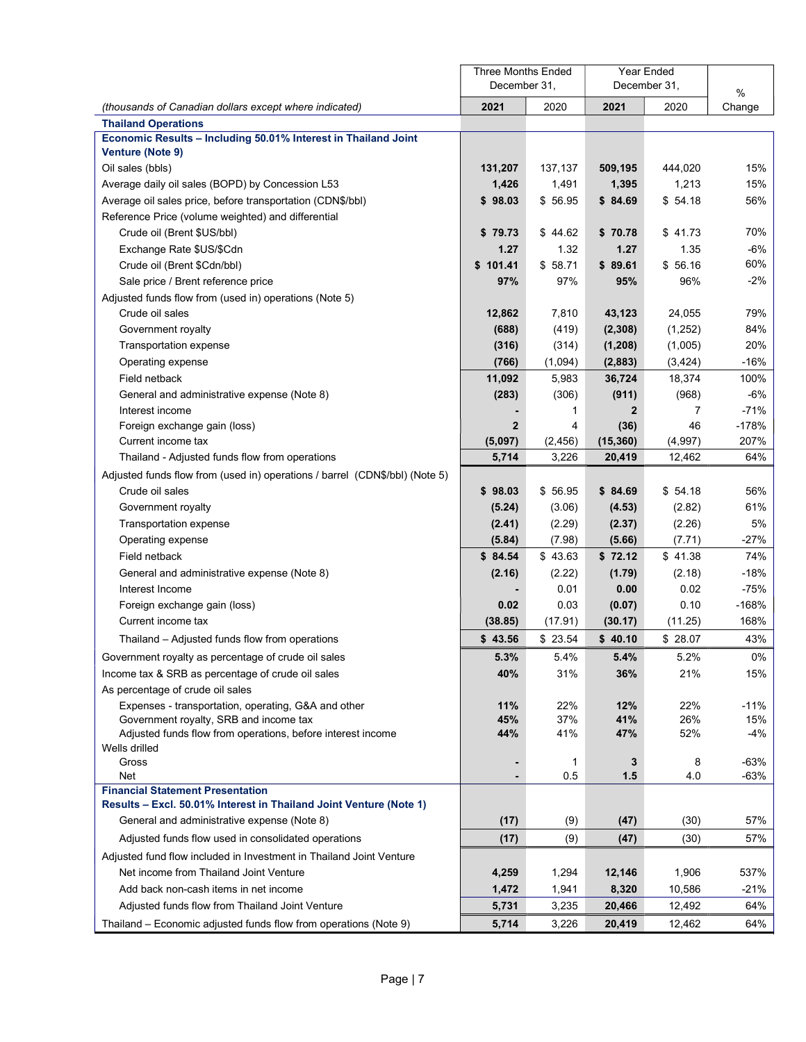|                                                                             | <b>Three Months Ended</b> |          | Year Ended   |          |                |
|-----------------------------------------------------------------------------|---------------------------|----------|--------------|----------|----------------|
|                                                                             | December 31,              |          | December 31, |          | $\%$           |
| (thousands of Canadian dollars except where indicated)                      | 2021                      | 2020     | 2021         | 2020     | Change         |
| <b>Thailand Operations</b>                                                  |                           |          |              |          |                |
| Economic Results - Including 50.01% Interest in Thailand Joint              |                           |          |              |          |                |
| <b>Venture (Note 9)</b>                                                     |                           |          |              |          |                |
| Oil sales (bbls)                                                            | 131,207                   | 137,137  | 509,195      | 444,020  | 15%            |
| Average daily oil sales (BOPD) by Concession L53                            | 1,426                     | 1,491    | 1,395        | 1,213    | 15%            |
| Average oil sales price, before transportation (CDN\$/bbl)                  | \$98.03                   | \$56.95  | \$84.69      | \$54.18  | 56%            |
| Reference Price (volume weighted) and differential                          |                           |          |              |          |                |
| Crude oil (Brent \$US/bbl)                                                  | \$79.73                   | \$44.62  | \$70.78      | \$41.73  | 70%            |
| Exchange Rate \$US/\$Cdn                                                    | 1.27                      | 1.32     | 1.27         | 1.35     | $-6%$          |
| Crude oil (Brent \$Cdn/bbl)                                                 | \$101.41                  | \$58.71  | \$89.61      | \$56.16  | 60%            |
| Sale price / Brent reference price                                          | 97%                       | 97%      | 95%          | 96%      | $-2\%$         |
| Adjusted funds flow from (used in) operations (Note 5)                      |                           |          |              |          |                |
| Crude oil sales                                                             | 12,862                    | 7,810    | 43,123       | 24,055   | 79%            |
| Government royalty                                                          | (688)                     | (419)    | (2, 308)     | (1,252)  | 84%            |
| <b>Transportation expense</b>                                               | (316)                     | (314)    | (1, 208)     | (1,005)  | 20%            |
| Operating expense                                                           | (766)                     | (1,094)  | (2,883)      | (3, 424) | $-16%$         |
| Field netback                                                               | 11,092                    | 5,983    | 36,724       | 18,374   | 100%           |
| General and administrative expense (Note 8)                                 | (283)                     | (306)    | (911)        | (968)    | -6%            |
| Interest income                                                             |                           | 1        | $\mathbf{2}$ | 7        | $-71%$         |
| Foreign exchange gain (loss)                                                | $\mathbf{2}$              | 4        | (36)         | 46       | $-178%$        |
| Current income tax                                                          | (5,097)                   | (2, 456) | (15, 360)    | (4,997)  | 207%           |
| Thailand - Adjusted funds flow from operations                              | 5,714                     | 3,226    | 20,419       | 12,462   | 64%            |
| Adjusted funds flow from (used in) operations / barrel (CDN\$/bbl) (Note 5) |                           |          |              |          |                |
| Crude oil sales                                                             | \$98.03                   | \$56.95  | \$84.69      | \$54.18  | 56%            |
| Government royalty                                                          | (5.24)                    | (3.06)   | (4.53)       | (2.82)   | 61%            |
| Transportation expense                                                      | (2.41)                    | (2.29)   | (2.37)       | (2.26)   | 5%             |
| Operating expense                                                           | (5.84)                    | (7.98)   | (5.66)       | (7.71)   | $-27%$         |
| Field netback                                                               | \$84.54                   | \$43.63  | \$72.12      | \$41.38  | 74%            |
| General and administrative expense (Note 8)                                 | (2.16)                    | (2.22)   | (1.79)       | (2.18)   | $-18%$         |
| Interest Income                                                             |                           | 0.01     | 0.00         | 0.02     | $-75%$         |
| Foreign exchange gain (loss)                                                | 0.02                      | 0.03     | (0.07)       | 0.10     | $-168%$        |
| Current income tax                                                          | (38.85)                   | (17.91)  | (30.17)      | (11.25)  | 168%           |
| Thailand – Adjusted funds flow from operations                              | \$43.56                   | \$23.54  | \$40.10      | \$28.07  | 43%            |
| Government royalty as percentage of crude oil sales                         | 5.3%                      | 5.4%     | 5.4%         | 5.2%     | 0%             |
| Income tax & SRB as percentage of crude oil sales                           | 40%                       | 31%      | 36%          | 21%      | 15%            |
| As percentage of crude oil sales                                            |                           |          |              |          |                |
| Expenses - transportation, operating, G&A and other                         | 11%                       | 22%      | 12%          | 22%      | $-11%$         |
| Government royalty, SRB and income tax                                      | 45%                       | 37%      | 41%          | 26%      | 15%            |
| Adjusted funds flow from operations, before interest income                 | 44%                       | 41%      | 47%          | 52%      | $-4%$          |
| Wells drilled                                                               |                           |          |              |          |                |
| Gross<br>Net                                                                |                           | 1<br>0.5 | 3<br>$1.5$   | 8<br>4.0 | $-63%$<br>-63% |
| <b>Financial Statement Presentation</b>                                     |                           |          |              |          |                |
| Results - Excl. 50.01% Interest in Thailand Joint Venture (Note 1)          |                           |          |              |          |                |
| General and administrative expense (Note 8)                                 | (17)                      | (9)      | (47)         | (30)     | 57%            |
| Adjusted funds flow used in consolidated operations                         | (17)                      | (9)      | (47)         | (30)     | 57%            |
| Adjusted fund flow included in Investment in Thailand Joint Venture         |                           |          |              |          |                |
| Net income from Thailand Joint Venture                                      |                           |          |              |          |                |
|                                                                             | 4,259                     | 1,294    | 12,146       | 1,906    | 537%           |
| Add back non-cash items in net income                                       | 1,472                     | 1,941    | 8,320        | 10,586   | $-21%$         |
| Adjusted funds flow from Thailand Joint Venture                             | 5,731                     | 3,235    | 20,466       | 12,492   | 64%            |
| Thailand - Economic adjusted funds flow from operations (Note 9)            | 5,714                     | 3,226    | 20,419       | 12,462   | 64%            |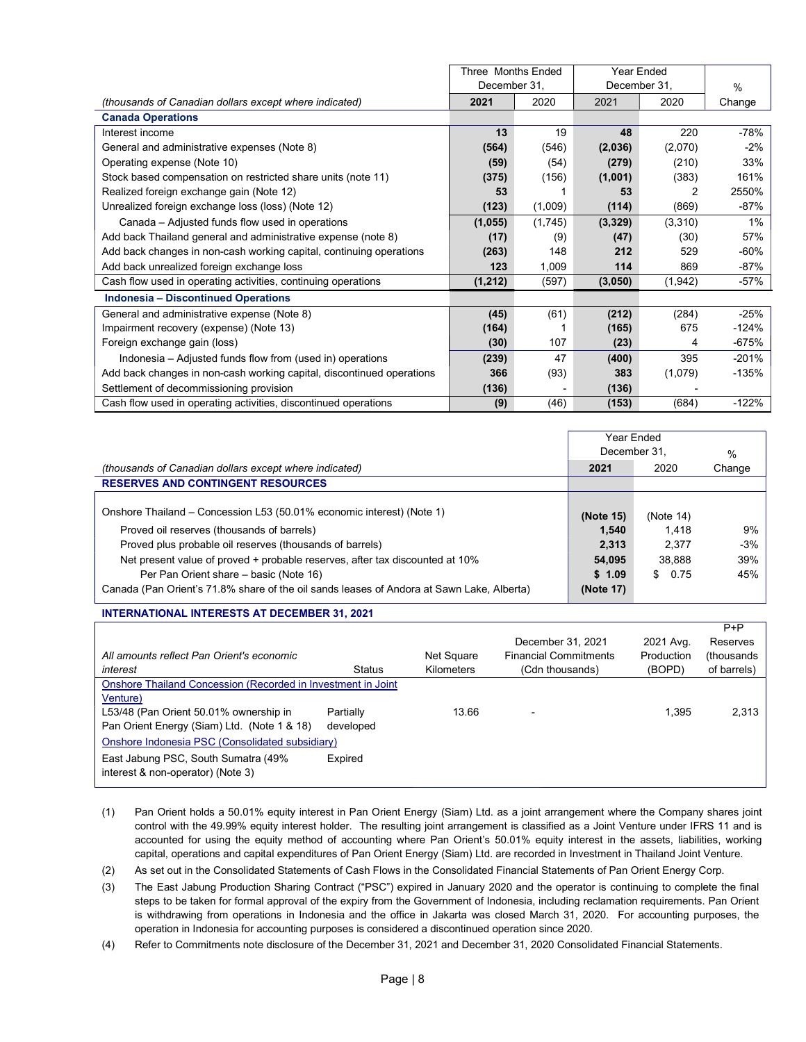|                                                                       | Three Months Ended |         |              | Year Ended |         |  |
|-----------------------------------------------------------------------|--------------------|---------|--------------|------------|---------|--|
|                                                                       | December 31,       |         | December 31, |            | $\%$    |  |
| (thousands of Canadian dollars except where indicated)                | 2021               | 2020    | 2021         | 2020       | Change  |  |
| <b>Canada Operations</b>                                              |                    |         |              |            |         |  |
| Interest income                                                       | 13                 | 19      | 48           | 220        | $-78%$  |  |
| General and administrative expenses (Note 8)                          | (564)              | (546)   | (2,036)      | (2,070)    | $-2%$   |  |
| Operating expense (Note 10)                                           | (59)               | (54)    | (279)        | (210)      | 33%     |  |
| Stock based compensation on restricted share units (note 11)          | (375)              | (156)   | (1,001)      | (383)      | 161%    |  |
| Realized foreign exchange gain (Note 12)                              | 53                 |         | 53           | 2          | 2550%   |  |
| Unrealized foreign exchange loss (loss) (Note 12)                     | (123)              | (1,009) | (114)        | (869)      | $-87%$  |  |
| Canada – Adjusted funds flow used in operations                       | (1,055)            | (1,745) | (3,329)      | (3,310)    | 1%      |  |
| Add back Thailand general and administrative expense (note 8)         | (17)               | (9)     | (47)         | (30)       | 57%     |  |
| Add back changes in non-cash working capital, continuing operations   | (263)              | 148     | 212          | 529        | $-60%$  |  |
| Add back unrealized foreign exchange loss                             | 123                | 1,009   | 114          | 869        | -87%    |  |
| Cash flow used in operating activities, continuing operations         | (1, 212)           | (597)   | (3,050)      | (1,942)    | $-57%$  |  |
| <b>Indonesia - Discontinued Operations</b>                            |                    |         |              |            |         |  |
| General and administrative expense (Note 8)                           | (45)               | (61)    | (212)        | (284)      | $-25%$  |  |
| Impairment recovery (expense) (Note 13)                               | (164)              |         | (165)        | 675        | $-124%$ |  |
| Foreign exchange gain (loss)                                          | (30)               | 107     | (23)         | 4          | -675%   |  |
| Indonesia – Adjusted funds flow from (used in) operations             | (239)              | 47      | (400)        | 395        | $-201%$ |  |
| Add back changes in non-cash working capital, discontinued operations | 366                | (93)    | 383          | (1,079)    | $-135%$ |  |
| Settlement of decommissioning provision                               | (136)              |         | (136)        |            |         |  |
| Cash flow used in operating activities, discontinued operations       | (9)                | (46)    | (153)        | (684)      | $-122%$ |  |

|                                                                                           | Year Ended<br>December 31, | $\%$      |        |
|-------------------------------------------------------------------------------------------|----------------------------|-----------|--------|
| (thousands of Canadian dollars except where indicated)                                    | 2021                       | 2020      | Change |
| <b>RESERVES AND CONTINGENT RESOURCES</b>                                                  |                            |           |        |
| Onshore Thailand – Concession L53 (50.01% economic interest) (Note 1)                     | (Note 15)                  | (Note 14) |        |
| Proved oil reserves (thousands of barrels)                                                | 1.540                      | 1.418     | 9%     |
| Proved plus probable oil reserves (thousands of barrels)                                  | 2.313                      | 2.377     | $-3%$  |
| Net present value of proved + probable reserves, after tax discounted at 10%              | 54,095                     | 38.888    | 39%    |
| Per Pan Orient share – basic (Note 16)                                                    | \$1.09                     | \$0.75    | 45%    |
| Canada (Pan Orient's 71.8% share of the oil sands leases of Andora at Sawn Lake, Alberta) | (Note 17)                  |           |        |

## INTERNATIONAL INTERESTS AT DECEMBER 31, 2021

|                                                              |           |            |                              |            | $P + P$     |
|--------------------------------------------------------------|-----------|------------|------------------------------|------------|-------------|
|                                                              |           |            | December 31, 2021            | 2021 Avg.  | Reserves    |
| All amounts reflect Pan Orient's economic                    |           | Net Square | <b>Financial Commitments</b> | Production | (thousands) |
| interest                                                     | Status    | Kilometers | (Cdn thousands)              | (BOPD)     | of barrels) |
| Onshore Thailand Concession (Recorded in Investment in Joint |           |            |                              |            |             |
| Venture)                                                     |           |            |                              |            |             |
| L53/48 (Pan Orient 50.01% ownership in                       | Partially | 13.66      |                              | 1,395      | 2,313       |
| Pan Orient Energy (Siam) Ltd. (Note 1 & 18)                  | developed |            |                              |            |             |
| Onshore Indonesia PSC (Consolidated subsidiary)              |           |            |                              |            |             |
| East Jabung PSC, South Sumatra (49%)                         | Expired   |            |                              |            |             |
| interest & non-operator) (Note 3)                            |           |            |                              |            |             |
|                                                              |           |            |                              |            |             |

- (1) Pan Orient holds a 50.01% equity interest in Pan Orient Energy (Siam) Ltd. as a joint arrangement where the Company shares joint control with the 49.99% equity interest holder. The resulting joint arrangement is classified as a Joint Venture under IFRS 11 and is accounted for using the equity method of accounting where Pan Orient's 50.01% equity interest in the assets, liabilities, working capital, operations and capital expenditures of Pan Orient Energy (Siam) Ltd. are recorded in Investment in Thailand Joint Venture.
- (2) As set out in the Consolidated Statements of Cash Flows in the Consolidated Financial Statements of Pan Orient Energy Corp.
- (3) The East Jabung Production Sharing Contract ("PSC") expired in January 2020 and the operator is continuing to complete the final steps to be taken for formal approval of the expiry from the Government of Indonesia, including reclamation requirements. Pan Orient is withdrawing from operations in Indonesia and the office in Jakarta was closed March 31, 2020. For accounting purposes, the operation in Indonesia for accounting purposes is considered a discontinued operation since 2020.
- (4) Refer to Commitments note disclosure of the December 31, 2021 and December 31, 2020 Consolidated Financial Statements.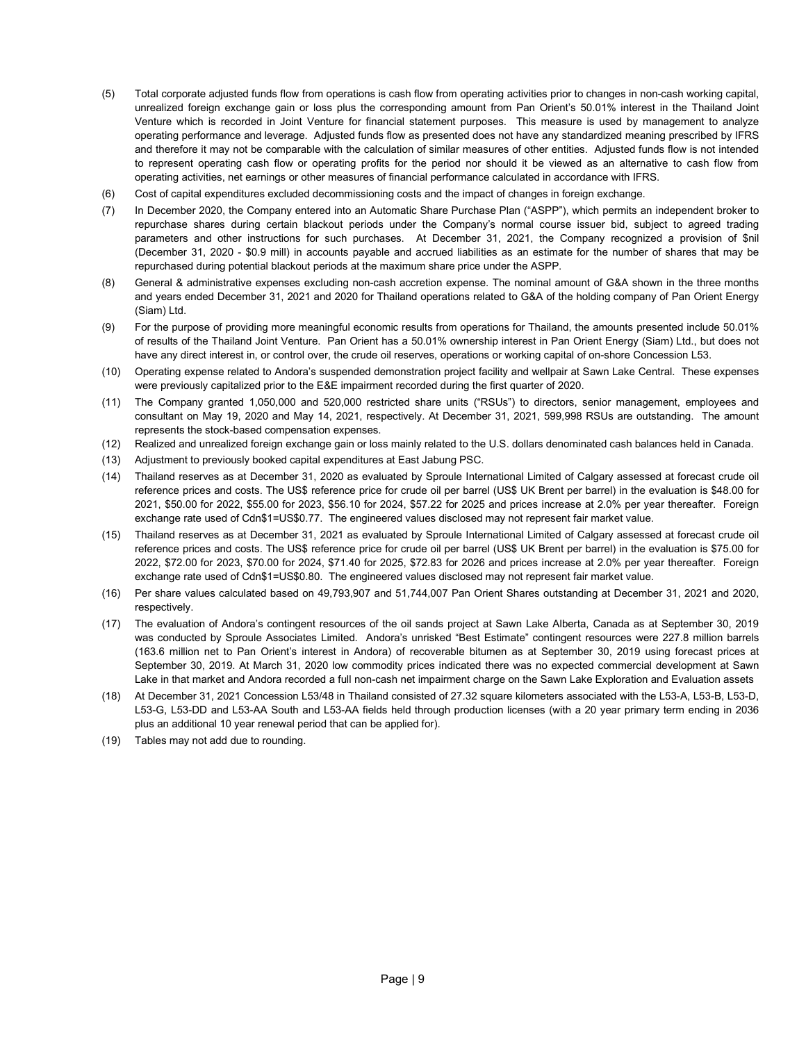- (5) Total corporate adjusted funds flow from operations is cash flow from operating activities prior to changes in non-cash working capital, unrealized foreign exchange gain or loss plus the corresponding amount from Pan Orient's 50.01% interest in the Thailand Joint Venture which is recorded in Joint Venture for financial statement purposes. This measure is used by management to analyze operating performance and leverage. Adjusted funds flow as presented does not have any standardized meaning prescribed by IFRS and therefore it may not be comparable with the calculation of similar measures of other entities. Adjusted funds flow is not intended to represent operating cash flow or operating profits for the period nor should it be viewed as an alternative to cash flow from operating activities, net earnings or other measures of financial performance calculated in accordance with IFRS.
- (6) Cost of capital expenditures excluded decommissioning costs and the impact of changes in foreign exchange.
- (7) In December 2020, the Company entered into an Automatic Share Purchase Plan ("ASPP"), which permits an independent broker to repurchase shares during certain blackout periods under the Company's normal course issuer bid, subject to agreed trading parameters and other instructions for such purchases. At December 31, 2021, the Company recognized a provision of \$nil (December 31, 2020 - \$0.9 mill) in accounts payable and accrued liabilities as an estimate for the number of shares that may be repurchased during potential blackout periods at the maximum share price under the ASPP.
- (8) General & administrative expenses excluding non-cash accretion expense. The nominal amount of G&A shown in the three months and years ended December 31, 2021 and 2020 for Thailand operations related to G&A of the holding company of Pan Orient Energy (Siam) Ltd.
- (9) For the purpose of providing more meaningful economic results from operations for Thailand, the amounts presented include 50.01% of results of the Thailand Joint Venture. Pan Orient has a 50.01% ownership interest in Pan Orient Energy (Siam) Ltd., but does not have any direct interest in, or control over, the crude oil reserves, operations or working capital of on-shore Concession L53.
- (10) Operating expense related to Andora's suspended demonstration project facility and wellpair at Sawn Lake Central. These expenses were previously capitalized prior to the E&E impairment recorded during the first quarter of 2020.
- (11) The Company granted 1,050,000 and 520,000 restricted share units ("RSUs") to directors, senior management, employees and consultant on May 19, 2020 and May 14, 2021, respectively. At December 31, 2021, 599,998 RSUs are outstanding. The amount represents the stock-based compensation expenses.
- (12) Realized and unrealized foreign exchange gain or loss mainly related to the U.S. dollars denominated cash balances held in Canada.
- (13) Adjustment to previously booked capital expenditures at East Jabung PSC.
- (14) Thailand reserves as at December 31, 2020 as evaluated by Sproule International Limited of Calgary assessed at forecast crude oil reference prices and costs. The US\$ reference price for crude oil per barrel (US\$ UK Brent per barrel) in the evaluation is \$48.00 for 2021, \$50.00 for 2022, \$55.00 for 2023, \$56.10 for 2024, \$57.22 for 2025 and prices increase at 2.0% per year thereafter. Foreign exchange rate used of Cdn\$1=US\$0.77. The engineered values disclosed may not represent fair market value.
- (15) Thailand reserves as at December 31, 2021 as evaluated by Sproule International Limited of Calgary assessed at forecast crude oil reference prices and costs. The US\$ reference price for crude oil per barrel (US\$ UK Brent per barrel) in the evaluation is \$75.00 for 2022, \$72.00 for 2023, \$70.00 for 2024, \$71.40 for 2025, \$72.83 for 2026 and prices increase at 2.0% per year thereafter. Foreign exchange rate used of Cdn\$1=US\$0.80. The engineered values disclosed may not represent fair market value.
- (16) Per share values calculated based on 49,793,907 and 51,744,007 Pan Orient Shares outstanding at December 31, 2021 and 2020, respectively.
- (17) The evaluation of Andora's contingent resources of the oil sands project at Sawn Lake Alberta, Canada as at September 30, 2019 was conducted by Sproule Associates Limited. Andora's unrisked "Best Estimate" contingent resources were 227.8 million barrels (163.6 million net to Pan Orient's interest in Andora) of recoverable bitumen as at September 30, 2019 using forecast prices at September 30, 2019. At March 31, 2020 low commodity prices indicated there was no expected commercial development at Sawn Lake in that market and Andora recorded a full non-cash net impairment charge on the Sawn Lake Exploration and Evaluation assets
- (18) At December 31, 2021 Concession L53/48 in Thailand consisted of 27.32 square kilometers associated with the L53-A, L53-B, L53-D, L53-G, L53-DD and L53-AA South and L53-AA fields held through production licenses (with a 20 year primary term ending in 2036 plus an additional 10 year renewal period that can be applied for).
- (19) Tables may not add due to rounding.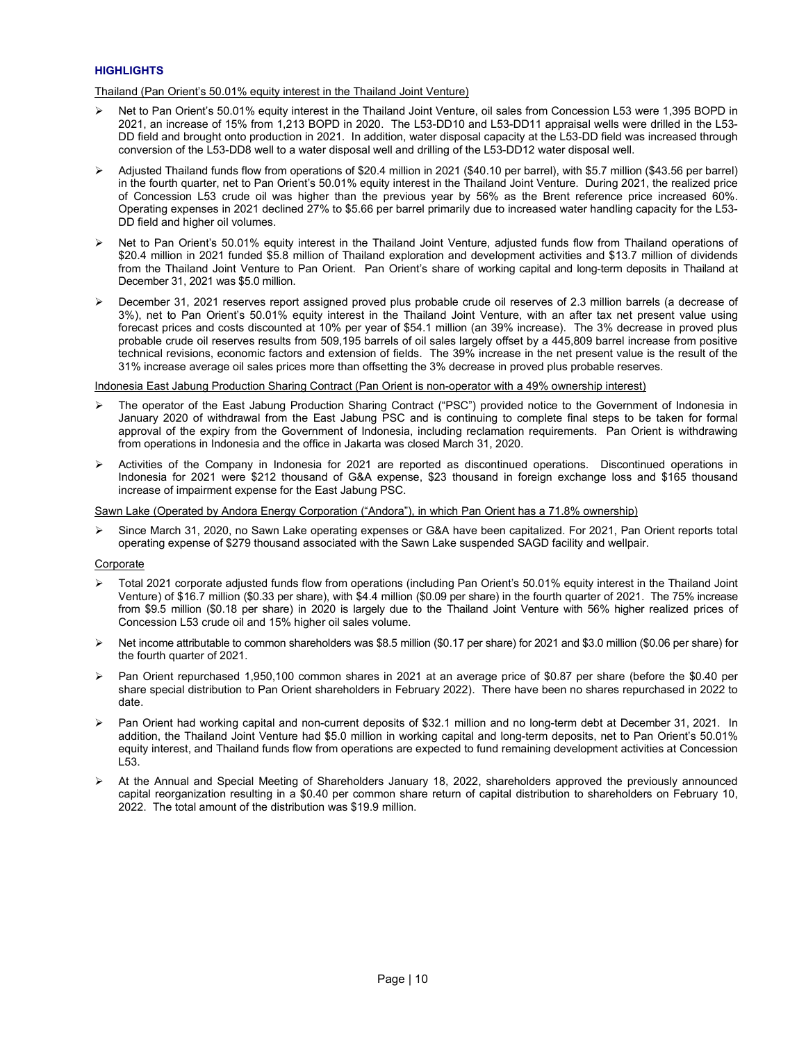## **HIGHLIGHTS**

Thailand (Pan Orient's 50.01% equity interest in the Thailand Joint Venture)

- $\triangleright$  Net to Pan Orient's 50.01% equity interest in the Thailand Joint Venture, oil sales from Concession L53 were 1,395 BOPD in 2021, an increase of 15% from 1,213 BOPD in 2020. The L53-DD10 and L53-DD11 appraisal wells were drilled in the L53- DD field and brought onto production in 2021. In addition, water disposal capacity at the L53-DD field was increased through conversion of the L53-DD8 well to a water disposal well and drilling of the L53-DD12 water disposal well.
- Adjusted Thailand funds flow from operations of \$20.4 million in 2021 (\$40.10 per barrel), with \$5.7 million (\$43.56 per barrel) in the fourth quarter, net to Pan Orient's 50.01% equity interest in the Thailand Joint Venture. During 2021, the realized price of Concession L53 crude oil was higher than the previous year by 56% as the Brent reference price increased 60%. Operating expenses in 2021 declined 27% to \$5.66 per barrel primarily due to increased water handling capacity for the L53- DD field and higher oil volumes.
- Net to Pan Orient's 50.01% equity interest in the Thailand Joint Venture, adjusted funds flow from Thailand operations of \$20.4 million in 2021 funded \$5.8 million of Thailand exploration and development activities and \$13.7 million of dividends from the Thailand Joint Venture to Pan Orient. Pan Orient's share of working capital and long-term deposits in Thailand at December 31, 2021 was \$5.0 million.
- December 31, 2021 reserves report assigned proved plus probable crude oil reserves of 2.3 million barrels (a decrease of 3%), net to Pan Orient's 50.01% equity interest in the Thailand Joint Venture, with an after tax net present value using forecast prices and costs discounted at 10% per year of \$54.1 million (an 39% increase). The 3% decrease in proved plus probable crude oil reserves results from 509,195 barrels of oil sales largely offset by a 445,809 barrel increase from positive technical revisions, economic factors and extension of fields. The 39% increase in the net present value is the result of the 31% increase average oil sales prices more than offsetting the 3% decrease in proved plus probable reserves.

Indonesia East Jabung Production Sharing Contract (Pan Orient is non-operator with a 49% ownership interest)

- The operator of the East Jabung Production Sharing Contract ("PSC") provided notice to the Government of Indonesia in January 2020 of withdrawal from the East Jabung PSC and is continuing to complete final steps to be taken for formal approval of the expiry from the Government of Indonesia, including reclamation requirements. Pan Orient is withdrawing from operations in Indonesia and the office in Jakarta was closed March 31, 2020.
- Activities of the Company in Indonesia for 2021 are reported as discontinued operations. Discontinued operations in Indonesia for 2021 were \$212 thousand of G&A expense, \$23 thousand in foreign exchange loss and \$165 thousand increase of impairment expense for the East Jabung PSC.

Sawn Lake (Operated by Andora Energy Corporation ("Andora"), in which Pan Orient has a 71.8% ownership)

 Since March 31, 2020, no Sawn Lake operating expenses or G&A have been capitalized. For 2021, Pan Orient reports total operating expense of \$279 thousand associated with the Sawn Lake suspended SAGD facility and wellpair.

## **Corporate**

- Total 2021 corporate adjusted funds flow from operations (including Pan Orient's 50.01% equity interest in the Thailand Joint Venture) of \$16.7 million (\$0.33 per share), with \$4.4 million (\$0.09 per share) in the fourth quarter of 2021. The 75% increase from \$9.5 million (\$0.18 per share) in 2020 is largely due to the Thailand Joint Venture with 56% higher realized prices of Concession L53 crude oil and 15% higher oil sales volume.
- ▶ Net income attributable to common shareholders was \$8.5 million (\$0.17 per share) for 2021 and \$3.0 million (\$0.06 per share) for the fourth quarter of 2021.
- Pan Orient repurchased 1,950,100 common shares in 2021 at an average price of \$0.87 per share (before the \$0.40 per share special distribution to Pan Orient shareholders in February 2022). There have been no shares repurchased in 2022 to date.
- $\triangleright$  Pan Orient had working capital and non-current deposits of \$32.1 million and no long-term debt at December 31, 2021. In addition, the Thailand Joint Venture had \$5.0 million in working capital and long-term deposits, net to Pan Orient's 50.01% equity interest, and Thailand funds flow from operations are expected to fund remaining development activities at Concession L53.
- At the Annual and Special Meeting of Shareholders January 18, 2022, shareholders approved the previously announced capital reorganization resulting in a \$0.40 per common share return of capital distribution to shareholders on February 10, 2022. The total amount of the distribution was \$19.9 million.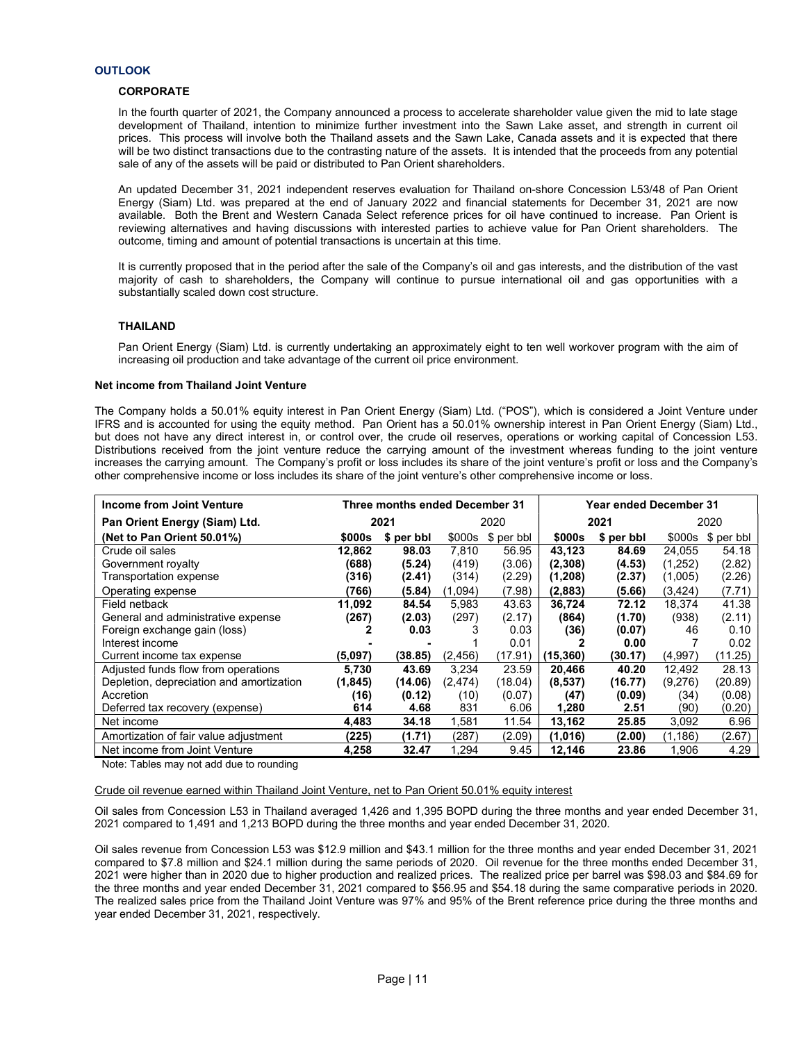## **CORPORATE**

In the fourth quarter of 2021, the Company announced a process to accelerate shareholder value given the mid to late stage development of Thailand, intention to minimize further investment into the Sawn Lake asset, and strength in current oil prices. This process will involve both the Thailand assets and the Sawn Lake, Canada assets and it is expected that there will be two distinct transactions due to the contrasting nature of the assets. It is intended that the proceeds from any potential sale of any of the assets will be paid or distributed to Pan Orient shareholders.

An updated December 31, 2021 independent reserves evaluation for Thailand on-shore Concession L53/48 of Pan Orient Energy (Siam) Ltd. was prepared at the end of January 2022 and financial statements for December 31, 2021 are now available. Both the Brent and Western Canada Select reference prices for oil have continued to increase. Pan Orient is reviewing alternatives and having discussions with interested parties to achieve value for Pan Orient shareholders. The outcome, timing and amount of potential transactions is uncertain at this time.

It is currently proposed that in the period after the sale of the Company's oil and gas interests, and the distribution of the vast majority of cash to shareholders, the Company will continue to pursue international oil and gas opportunities with a substantially scaled down cost structure.

## THAILAND

Pan Orient Energy (Siam) Ltd. is currently undertaking an approximately eight to ten well workover program with the aim of increasing oil production and take advantage of the current oil price environment.

## Net income from Thailand Joint Venture

The Company holds a 50.01% equity interest in Pan Orient Energy (Siam) Ltd. ("POS"), which is considered a Joint Venture under IFRS and is accounted for using the equity method. Pan Orient has a 50.01% ownership interest in Pan Orient Energy (Siam) Ltd., but does not have any direct interest in, or control over, the crude oil reserves, operations or working capital of Concession L53. Distributions received from the joint venture reduce the carrying amount of the investment whereas funding to the joint venture increases the carrying amount. The Company's profit or loss includes its share of the joint venture's profit or loss and the Company's other comprehensive income or loss includes its share of the joint venture's other comprehensive income or loss.

| Income from Joint Venture                | Three months ended December 31 |            |          |            |           | Year ended December 31 |          |            |
|------------------------------------------|--------------------------------|------------|----------|------------|-----------|------------------------|----------|------------|
| Pan Orient Energy (Siam) Ltd.            |                                | 2021       | 2020     |            | 2021      |                        | 2020     |            |
| (Net to Pan Orient 50.01%)               | <b>\$000s</b>                  | \$ per bbl | \$000s   | \$ per bbl | \$000s    | \$ per bbl             | \$000s   | \$ per bbl |
| Crude oil sales                          | 12.862                         | 98.03      | 7.810    | 56.95      | 43,123    | 84.69                  | 24.055   | 54.18      |
| Government royalty                       | (688)                          | (5.24)     | (419)    | (3.06)     | (2,308)   | (4.53)                 | (1,252)  | (2.82)     |
| Transportation expense                   | (316)                          | (2.41)     | (314)    | (2.29)     | (1,208)   | (2.37)                 | (1,005)  | (2.26)     |
| Operating expense                        | 766)                           | (5.84)     | (1,094)  | (7.98)     | (2,883)   | (5.66)                 | (3, 424) | (7.71)     |
| Field netback                            | 11,092                         | 84.54      | 5.983    | 43.63      | 36,724    | 72.12                  | 18,374   | 41.38      |
| General and administrative expense       | (267)                          | (2.03)     | (297)    | (2.17)     | (864)     | (1.70)                 | (938)    | (2.11)     |
| Foreign exchange gain (loss)             |                                | 0.03       |          | 0.03       | (36)      | (0.07)                 | 46       | 0.10       |
| Interest income                          |                                |            |          | 0.01       |           | 0.00                   |          | 0.02       |
| Current income tax expense               | (5,097)                        | (38.85)    | (2, 456) | (17.91)    | (15, 360) | (30.17)                | (4,997)  | (11.25)    |
| Adjusted funds flow from operations      | 5,730                          | 43.69      | 3.234    | 23.59      | 20,466    | 40.20                  | 12.492   | 28.13      |
| Depletion, depreciation and amortization | (1, 845)                       | (14.06)    | (2, 474) | (18.04)    | (8,537)   | (16.77)                | (9,276)  | (20.89)    |
| Accretion                                | (16)                           | (0.12)     | (10)     | (0.07)     | (47)      | (0.09)                 | (34)     | (0.08)     |
| Deferred tax recovery (expense)          | 614                            | 4.68       | 831      | 6.06       | 1,280     | 2.51                   | (90)     | (0.20)     |
| Net income                               | 4.483                          | 34.18      | 1,581    | 11.54      | 13,162    | 25.85                  | 3,092    | 6.96       |
| Amortization of fair value adjustment    | (225)                          | (1.71)     | (287)    | (2.09)     | (1,016)   | (2.00)                 | (1.186)  | (2.67)     |
| Net income from Joint Venture            | 4,258                          | 32.47      | 1.294    | 9.45       | 12,146    | 23.86                  | 1.906    | 4.29       |

Note: Tables may not add due to rounding

#### Crude oil revenue earned within Thailand Joint Venture, net to Pan Orient 50.01% equity interest

Oil sales from Concession L53 in Thailand averaged 1,426 and 1,395 BOPD during the three months and year ended December 31, 2021 compared to 1,491 and 1,213 BOPD during the three months and year ended December 31, 2020.

Oil sales revenue from Concession L53 was \$12.9 million and \$43.1 million for the three months and year ended December 31, 2021 compared to \$7.8 million and \$24.1 million during the same periods of 2020. Oil revenue for the three months ended December 31, 2021 were higher than in 2020 due to higher production and realized prices. The realized price per barrel was \$98.03 and \$84.69 for the three months and year ended December 31, 2021 compared to \$56.95 and \$54.18 during the same comparative periods in 2020. The realized sales price from the Thailand Joint Venture was 97% and 95% of the Brent reference price during the three months and year ended December 31, 2021, respectively.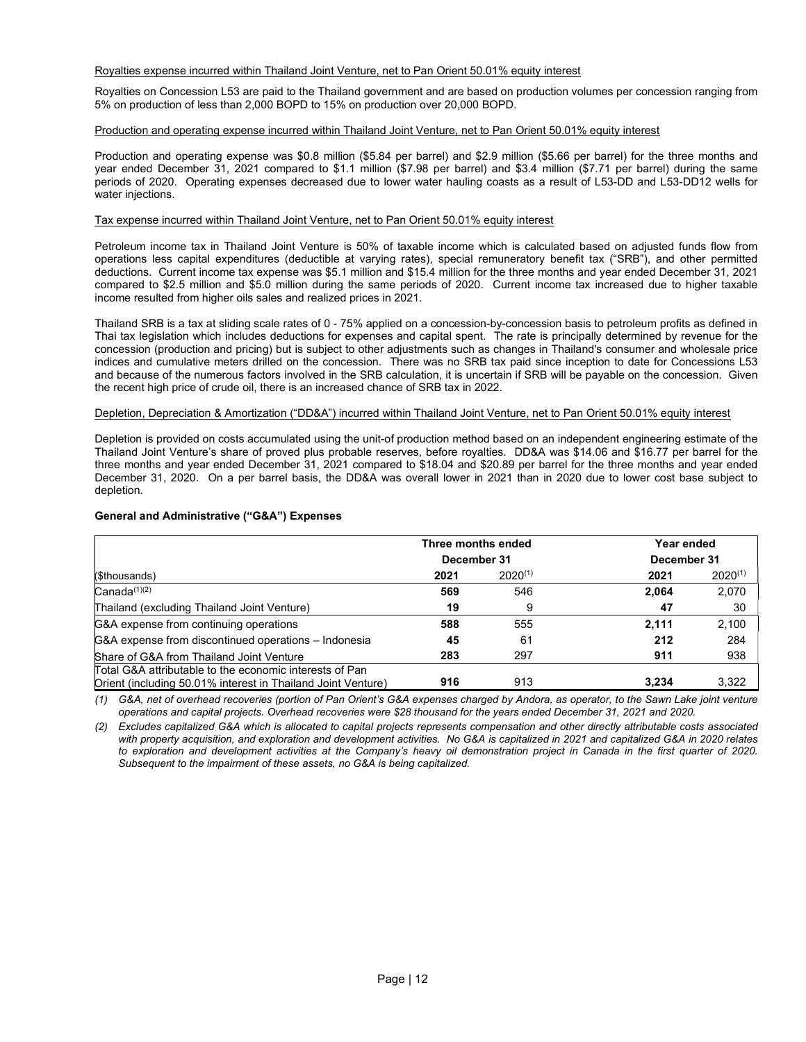## Royalties expense incurred within Thailand Joint Venture, net to Pan Orient 50.01% equity interest

Royalties on Concession L53 are paid to the Thailand government and are based on production volumes per concession ranging from 5% on production of less than 2,000 BOPD to 15% on production over 20,000 BOPD.

## Production and operating expense incurred within Thailand Joint Venture, net to Pan Orient 50.01% equity interest

Production and operating expense was \$0.8 million (\$5.84 per barrel) and \$2.9 million (\$5.66 per barrel) for the three months and year ended December 31, 2021 compared to \$1.1 million (\$7.98 per barrel) and \$3.4 million (\$7.71 per barrel) during the same periods of 2020. Operating expenses decreased due to lower water hauling coasts as a result of L53-DD and L53-DD12 wells for water injections.

## Tax expense incurred within Thailand Joint Venture, net to Pan Orient 50.01% equity interest

Petroleum income tax in Thailand Joint Venture is 50% of taxable income which is calculated based on adjusted funds flow from operations less capital expenditures (deductible at varying rates), special remuneratory benefit tax ("SRB"), and other permitted deductions. Current income tax expense was \$5.1 million and \$15.4 million for the three months and year ended December 31, 2021 compared to \$2.5 million and \$5.0 million during the same periods of 2020. Current income tax increased due to higher taxable income resulted from higher oils sales and realized prices in 2021.

Thailand SRB is a tax at sliding scale rates of 0 - 75% applied on a concession-by-concession basis to petroleum profits as defined in Thai tax legislation which includes deductions for expenses and capital spent. The rate is principally determined by revenue for the concession (production and pricing) but is subject to other adjustments such as changes in Thailand's consumer and wholesale price indices and cumulative meters drilled on the concession. There was no SRB tax paid since inception to date for Concessions L53 and because of the numerous factors involved in the SRB calculation, it is uncertain if SRB will be payable on the concession. Given the recent high price of crude oil, there is an increased chance of SRB tax in 2022.

## Depletion, Depreciation & Amortization ("DD&A") incurred within Thailand Joint Venture, net to Pan Orient 50.01% equity interest

Depletion is provided on costs accumulated using the unit-of production method based on an independent engineering estimate of the Thailand Joint Venture's share of proved plus probable reserves, before royalties. DD&A was \$14.06 and \$16.77 per barrel for the three months and year ended December 31, 2021 compared to \$18.04 and \$20.89 per barrel for the three months and year ended December 31, 2020. On a per barrel basis, the DD&A was overall lower in 2021 than in 2020 due to lower cost base subject to depletion.

## General and Administrative ("G&A") Expenses

|                                                                                                                         | Three months ended |              | Year ended  |              |  |
|-------------------------------------------------------------------------------------------------------------------------|--------------------|--------------|-------------|--------------|--|
|                                                                                                                         | December 31        |              | December 31 |              |  |
| (\$thousands)                                                                                                           | 2021               | $2020^{(1)}$ | 2021        | $2020^{(1)}$ |  |
| $Canada^{(1)(2)}$                                                                                                       | 569                | 546          | 2,064       | 2,070        |  |
| Thailand (excluding Thailand Joint Venture)                                                                             | 19                 | 9            | 47          | 30           |  |
| G&A expense from continuing operations                                                                                  | 588                | 555          | 2.111       | 2,100        |  |
| G&A expense from discontinued operations – Indonesia                                                                    | 45                 | 61           | 212         | 284          |  |
| Share of G&A from Thailand Joint Venture                                                                                | 283                | 297          | 911         | 938          |  |
| Total G&A attributable to the economic interests of Pan<br>Orient (including 50.01% interest in Thailand Joint Venture) | 916                | 913          | 3.234       | 3,322        |  |

(1) G&A, net of overhead recoveries (portion of Pan Orient's G&A expenses charged by Andora, as operator, to the Sawn Lake joint venture operations and capital projects. Overhead recoveries were \$28 thousand for the years ended December 31, 2021 and 2020.

(2) Excludes capitalized G&A which is allocated to capital projects represents compensation and other directly attributable costs associated with property acquisition, and exploration and development activities. No G&A is capitalized in 2021 and capitalized G&A in 2020 relates to exploration and development activities at the Company's heavy oil demonstration project in Canada in the first quarter of 2020. Subsequent to the impairment of these assets, no G&A is being capitalized.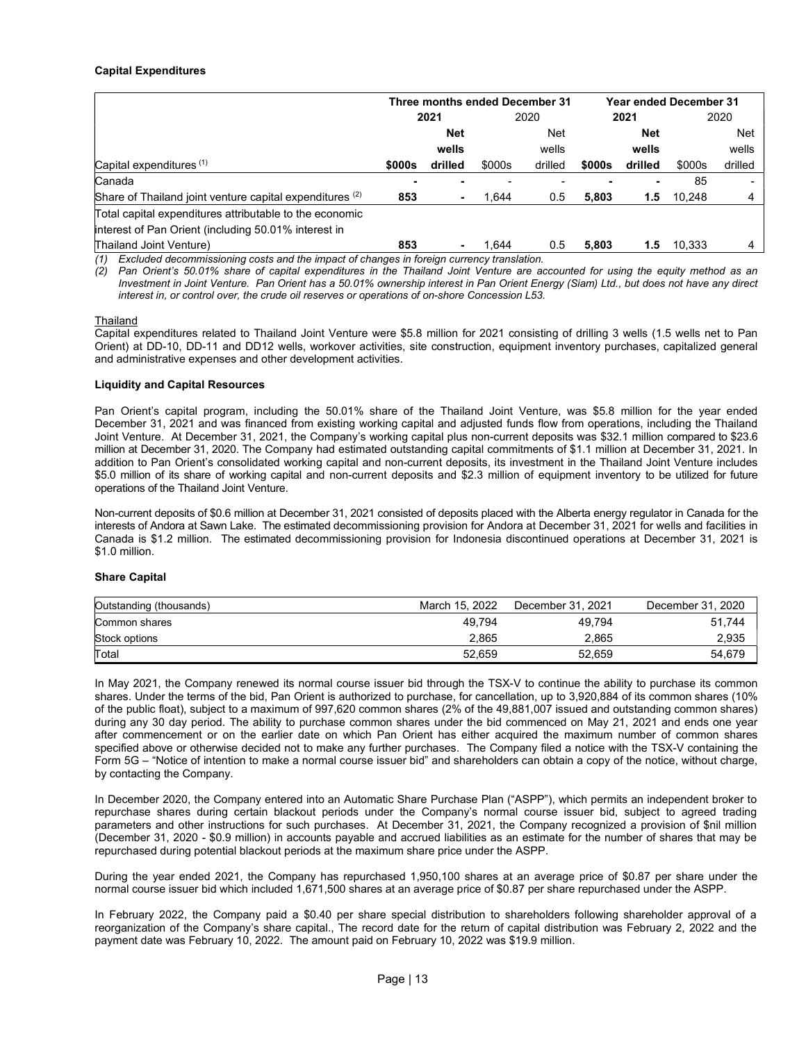## Capital Expenditures

|                                                          | Three months ended December 31 |            |        |         | Year ended December 31 |         |        |            |
|----------------------------------------------------------|--------------------------------|------------|--------|---------|------------------------|---------|--------|------------|
|                                                          |                                | 2021       | 2020   |         | 2021                   |         | 2020   |            |
|                                                          |                                | <b>Net</b> |        | Net     |                        | Net     |        | <b>Net</b> |
|                                                          |                                | wells      |        | wells   |                        | wells   |        | wells      |
| Capital expenditures $(1)$                               | \$000s                         | drilled    | \$000s | drilled | \$000s                 | drilled | \$000s | drilled    |
| Canada                                                   |                                |            |        |         |                        |         | 85     |            |
| Share of Thailand joint venture capital expenditures (2) | 853                            |            | 1.644  | 0.5     | 5,803                  | 1.5     | 10.248 | 4          |
| Total capital expenditures attributable to the economic  |                                |            |        |         |                        |         |        |            |
| interest of Pan Orient (including 50.01% interest in     |                                |            |        |         |                        |         |        |            |
| Thailand Joint Venture)                                  | 853                            |            | 1.644  | 0.5     | 5.803                  | 1.5     | 10.333 |            |

(1) Excluded decommissioning costs and the impact of changes in foreign currency translation.

(2) Pan Orient's 50.01% share of capital expenditures in the Thailand Joint Venture are accounted for using the equity method as an Investment in Joint Venture. Pan Orient has a 50.01% ownership interest in Pan Orient Energy (Siam) Ltd., but does not have any direct interest in, or control over, the crude oil reserves or operations of on-shore Concession L53.

#### Thailand

Capital expenditures related to Thailand Joint Venture were \$5.8 million for 2021 consisting of drilling 3 wells (1.5 wells net to Pan Orient) at DD-10, DD-11 and DD12 wells, workover activities, site construction, equipment inventory purchases, capitalized general and administrative expenses and other development activities.

## Liquidity and Capital Resources

Pan Orient's capital program, including the 50.01% share of the Thailand Joint Venture, was \$5.8 million for the year ended December 31, 2021 and was financed from existing working capital and adjusted funds flow from operations, including the Thailand Joint Venture. At December 31, 2021, the Company's working capital plus non-current deposits was \$32.1 million compared to \$23.6 million at December 31, 2020. The Company had estimated outstanding capital commitments of \$1.1 million at December 31, 2021. In addition to Pan Orient's consolidated working capital and non-current deposits, its investment in the Thailand Joint Venture includes \$5.0 million of its share of working capital and non-current deposits and \$2.3 million of equipment inventory to be utilized for future operations of the Thailand Joint Venture.

Non-current deposits of \$0.6 million at December 31, 2021 consisted of deposits placed with the Alberta energy regulator in Canada for the interests of Andora at Sawn Lake. The estimated decommissioning provision for Andora at December 31, 2021 for wells and facilities in Canada is \$1.2 million. The estimated decommissioning provision for Indonesia discontinued operations at December 31, 2021 is \$1.0 million.

## Share Capital

| Outstanding (thousands) | March 15, 2022 | December 31, 2021 | December 31, 2020 |
|-------------------------|----------------|-------------------|-------------------|
| Common shares           | 49.794         | 49.794            | 51.744            |
| Stock options           | 2.865          | 2.865             | 2,935             |
| Total                   | 52,659         | 52.659            | 54,679            |

In May 2021, the Company renewed its normal course issuer bid through the TSX-V to continue the ability to purchase its common shares. Under the terms of the bid, Pan Orient is authorized to purchase, for cancellation, up to 3,920,884 of its common shares (10% of the public float), subject to a maximum of 997,620 common shares (2% of the 49,881,007 issued and outstanding common shares) during any 30 day period. The ability to purchase common shares under the bid commenced on May 21, 2021 and ends one year after commencement or on the earlier date on which Pan Orient has either acquired the maximum number of common shares specified above or otherwise decided not to make any further purchases. The Company filed a notice with the TSX-V containing the Form 5G – "Notice of intention to make a normal course issuer bid" and shareholders can obtain a copy of the notice, without charge, by contacting the Company.

In December 2020, the Company entered into an Automatic Share Purchase Plan ("ASPP"), which permits an independent broker to repurchase shares during certain blackout periods under the Company's normal course issuer bid, subject to agreed trading parameters and other instructions for such purchases. At December 31, 2021, the Company recognized a provision of \$nil million (December 31, 2020 - \$0.9 million) in accounts payable and accrued liabilities as an estimate for the number of shares that may be repurchased during potential blackout periods at the maximum share price under the ASPP.

During the year ended 2021, the Company has repurchased 1,950,100 shares at an average price of \$0.87 per share under the normal course issuer bid which included 1,671,500 shares at an average price of \$0.87 per share repurchased under the ASPP.

In February 2022, the Company paid a \$0.40 per share special distribution to shareholders following shareholder approval of a reorganization of the Company's share capital., The record date for the return of capital distribution was February 2, 2022 and the payment date was February 10, 2022. The amount paid on February 10, 2022 was \$19.9 million.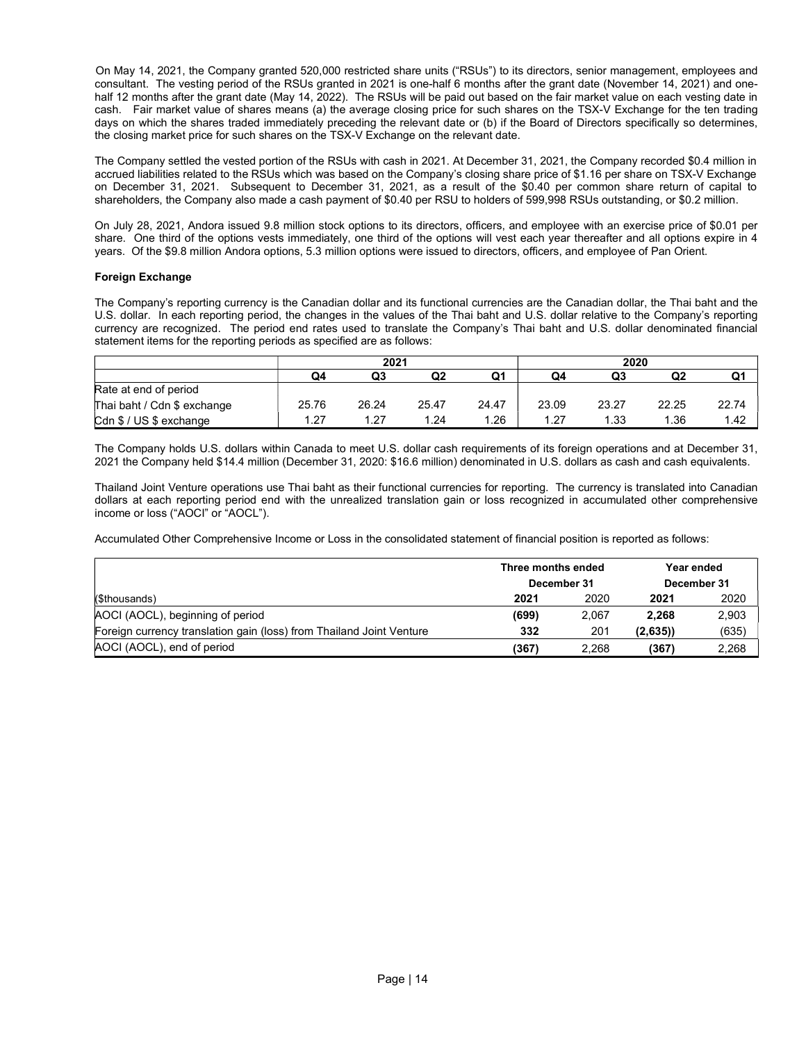On May 14, 2021, the Company granted 520,000 restricted share units ("RSUs") to its directors, senior management, employees and consultant. The vesting period of the RSUs granted in 2021 is one-half 6 months after the grant date (November 14, 2021) and onehalf 12 months after the grant date (May 14, 2022). The RSUs will be paid out based on the fair market value on each vesting date in cash. Fair market value of shares means (a) the average closing price for such shares on the TSX-V Exchange for the ten trading days on which the shares traded immediately preceding the relevant date or (b) if the Board of Directors specifically so determines, the closing market price for such shares on the TSX-V Exchange on the relevant date.

The Company settled the vested portion of the RSUs with cash in 2021. At December 31, 2021, the Company recorded \$0.4 million in accrued liabilities related to the RSUs which was based on the Company's closing share price of \$1.16 per share on TSX-V Exchange on December 31, 2021. Subsequent to December 31, 2021, as a result of the \$0.40 per common share return of capital to shareholders, the Company also made a cash payment of \$0.40 per RSU to holders of 599,998 RSUs outstanding, or \$0.2 million.

On July 28, 2021, Andora issued 9.8 million stock options to its directors, officers, and employee with an exercise price of \$0.01 per share. One third of the options vests immediately, one third of the options will vest each year thereafter and all options expire in 4 years. Of the \$9.8 million Andora options, 5.3 million options were issued to directors, officers, and employee of Pan Orient.

## Foreign Exchange

The Company's reporting currency is the Canadian dollar and its functional currencies are the Canadian dollar, the Thai baht and the U.S. dollar. In each reporting period, the changes in the values of the Thai baht and U.S. dollar relative to the Company's reporting currency are recognized. The period end rates used to translate the Company's Thai baht and U.S. dollar denominated financial statement items for the reporting periods as specified are as follows:

|                             | 2021  |       |                |       |       | 2020  |       |       |
|-----------------------------|-------|-------|----------------|-------|-------|-------|-------|-------|
|                             | Q4    | Q3    | Q <sub>2</sub> | Q1    | Q4    | Q3    | Q2    | Q1    |
| Rate at end of period       |       |       |                |       |       |       |       |       |
| Thai baht / Cdn \$ exchange | 25.76 | 26.24 | 25.47          | 24.47 | 23.09 | 23.27 | 22.25 | 22.74 |
| Cdn \$ / US \$ exchange     | 1.27  | 1.27  | 1.24           | .26   | 1.27  | 1.33  | 1.36  | 1.42  |

The Company holds U.S. dollars within Canada to meet U.S. dollar cash requirements of its foreign operations and at December 31, 2021 the Company held \$14.4 million (December 31, 2020: \$16.6 million) denominated in U.S. dollars as cash and cash equivalents.

Thailand Joint Venture operations use Thai baht as their functional currencies for reporting. The currency is translated into Canadian dollars at each reporting period end with the unrealized translation gain or loss recognized in accumulated other comprehensive income or loss ("AOCI" or "AOCL").

Accumulated Other Comprehensive Income or Loss in the consolidated statement of financial position is reported as follows:

|                                                                      | Three months ended |       | Year ended  |       |  |
|----------------------------------------------------------------------|--------------------|-------|-------------|-------|--|
|                                                                      | December 31        |       | December 31 |       |  |
| (\$thousands)                                                        | 2021               | 2020  | 2021        | 2020  |  |
| AOCI (AOCL), beginning of period                                     | (699)              | 2.067 | 2.268       | 2,903 |  |
| Foreign currency translation gain (loss) from Thailand Joint Venture | 332                | 201   | (2,635)     | (635) |  |
| AOCI (AOCL), end of period                                           | (367)              | 2.268 | (367)       | 2,268 |  |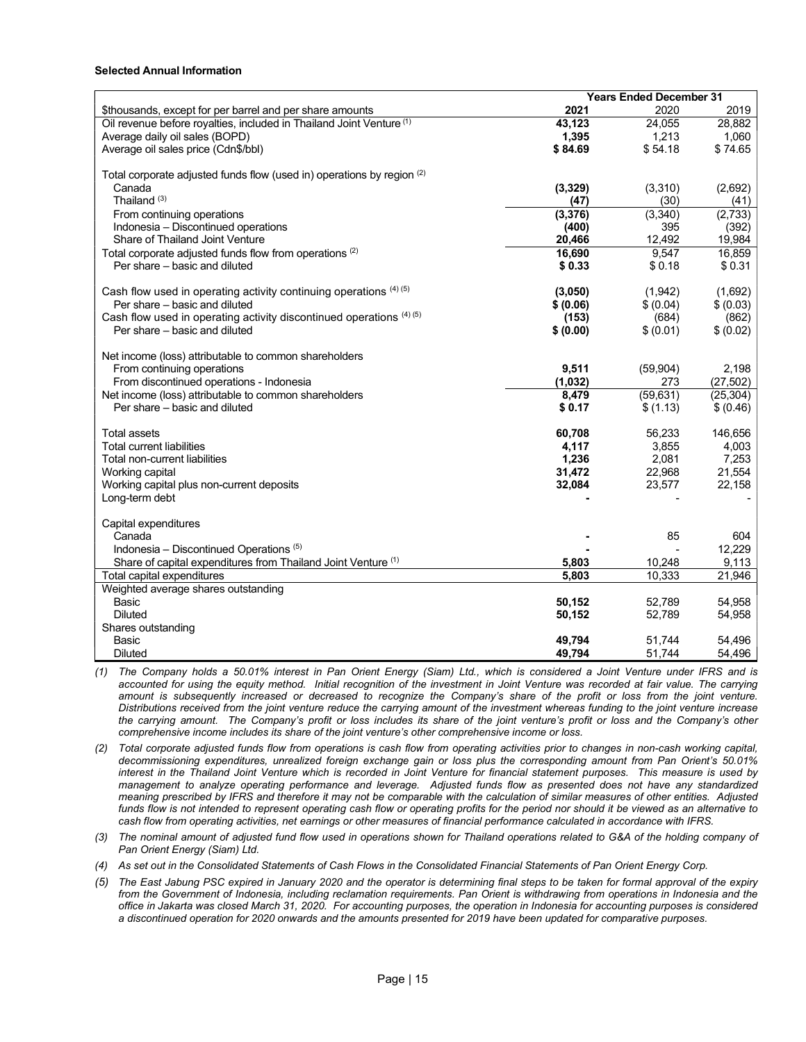## Selected Annual Information

|                                                                                 | <b>Years Ended December 31</b> |                |                |  |
|---------------------------------------------------------------------------------|--------------------------------|----------------|----------------|--|
| \$thousands, except for per barrel and per share amounts                        | 2021                           | 2020           | 2019           |  |
| Oil revenue before royalties, included in Thailand Joint Venture <sup>(1)</sup> | 43,123                         | 24,055         | 28,882         |  |
| Average daily oil sales (BOPD)                                                  | 1,395                          | 1,213          | 1,060          |  |
| Average oil sales price (Cdn\$/bbl)                                             | \$84.69                        | \$54.18        | \$74.65        |  |
| Total corporate adjusted funds flow (used in) operations by region (2)          |                                |                |                |  |
| Canada                                                                          | (3,329)                        | (3,310)        | (2,692)        |  |
| Thailand $(3)$                                                                  | (47)                           | (30)           | (41)           |  |
| From continuing operations                                                      | (3, 376)                       | (3,340)        | (2,733)        |  |
| Indonesia - Discontinued operations                                             | (400)                          | 395            | (392)          |  |
| Share of Thailand Joint Venture                                                 | 20,466                         | 12,492         | 19,984         |  |
| Total corporate adjusted funds flow from operations (2)                         | 16,690                         | 9,547          | 16,859         |  |
| Per share – basic and diluted                                                   | \$0.33                         | \$0.18         | \$0.31         |  |
|                                                                                 |                                |                |                |  |
| Cash flow used in operating activity continuing operations $(4)(5)$             | (3,050)                        | (1,942)        | (1,692)        |  |
| Per share – basic and diluted                                                   | \$ (0.06)                      | \$ (0.04)      | \$ (0.03)      |  |
| Cash flow used in operating activity discontinued operations (4) (5)            | (153)                          | (684)          | (862)          |  |
| Per share – basic and diluted                                                   | \$ (0.00)                      | \$ (0.01)      | \$ (0.02)      |  |
|                                                                                 |                                |                |                |  |
| Net income (loss) attributable to common shareholders                           |                                |                |                |  |
| From continuing operations                                                      | 9,511                          | (59, 904)      | 2,198          |  |
| From discontinued operations - Indonesia                                        | (1,032)                        | 273            | (27, 502)      |  |
| Net income (loss) attributable to common shareholders                           | 8,479                          | (59, 631)      | (25, 304)      |  |
| Per share – basic and diluted                                                   | \$0.17                         | \$(1.13)       | \$ (0.46)      |  |
|                                                                                 |                                |                |                |  |
| Total assets                                                                    | 60,708                         | 56,233         | 146,656        |  |
| <b>Total current liabilities</b>                                                | 4,117<br>1,236                 | 3,855<br>2,081 | 4,003<br>7,253 |  |
| Total non-current liabilities                                                   | 31,472                         | 22,968         | 21,554         |  |
| Working capital                                                                 |                                |                | 22,158         |  |
| Working capital plus non-current deposits<br>Long-term debt                     | 32,084                         | 23,577         |                |  |
|                                                                                 |                                |                |                |  |
| Capital expenditures                                                            |                                |                |                |  |
| Canada                                                                          |                                | 85             | 604            |  |
| Indonesia – Discontinued Operations $(5)$                                       |                                |                | 12,229         |  |
| Share of capital expenditures from Thailand Joint Venture (1)                   | 5,803                          | 10,248         | 9,113          |  |
| Total capital expenditures                                                      | 5.803                          | 10,333         | 21,946         |  |
| Weighted average shares outstanding                                             |                                |                |                |  |
| Basic                                                                           | 50,152                         | 52,789         | 54,958         |  |
| <b>Diluted</b>                                                                  | 50,152                         | 52,789         | 54,958         |  |
| Shares outstanding                                                              |                                |                |                |  |
| Basic                                                                           | 49,794                         | 51,744         | 54,496         |  |
| <b>Diluted</b>                                                                  | 49,794                         | 51,744         | 54,496         |  |

(1) The Company holds a 50.01% interest in Pan Orient Energy (Siam) Ltd., which is considered a Joint Venture under IFRS and is accounted for using the equity method. Initial recognition of the investment in Joint Venture was recorded at fair value. The carrying amount is subsequently increased or decreased to recognize the Company's share of the profit or loss from the joint venture. Distributions received from the joint venture reduce the carrying amount of the investment whereas funding to the joint venture increase the carrying amount. The Company's profit or loss includes its share of the joint venture's profit or loss and the Company's other comprehensive income includes its share of the joint venture's other comprehensive income or loss.

(2) Total corporate adjusted funds flow from operations is cash flow from operating activities prior to changes in non-cash working capital, decommissioning expenditures, unrealized foreign exchange gain or loss plus the corresponding amount from Pan Orient's 50.01% interest in the Thailand Joint Venture which is recorded in Joint Venture for financial statement purposes. This measure is used by management to analyze operating performance and leverage. Adjusted funds flow as presented does not have any standardized meaning prescribed by IFRS and therefore it may not be comparable with the calculation of similar measures of other entities. Adjusted funds flow is not intended to represent operating cash flow or operating profits for the period nor should it be viewed as an alternative to cash flow from operating activities, net earnings or other measures of financial performance calculated in accordance with IFRS.

(3) The nominal amount of adjusted fund flow used in operations shown for Thailand operations related to G&A of the holding company of Pan Orient Energy (Siam) Ltd.

(4) As set out in the Consolidated Statements of Cash Flows in the Consolidated Financial Statements of Pan Orient Energy Corp.

(5) The East Jabung PSC expired in January 2020 and the operator is determining final steps to be taken for formal approval of the expiry from the Government of Indonesia, including reclamation requirements. Pan Orient is withdrawing from operations in Indonesia and the office in Jakarta was closed March 31, 2020. For accounting purposes, the operation in Indonesia for accounting purposes is considered a discontinued operation for 2020 onwards and the amounts presented for 2019 have been updated for comparative purposes.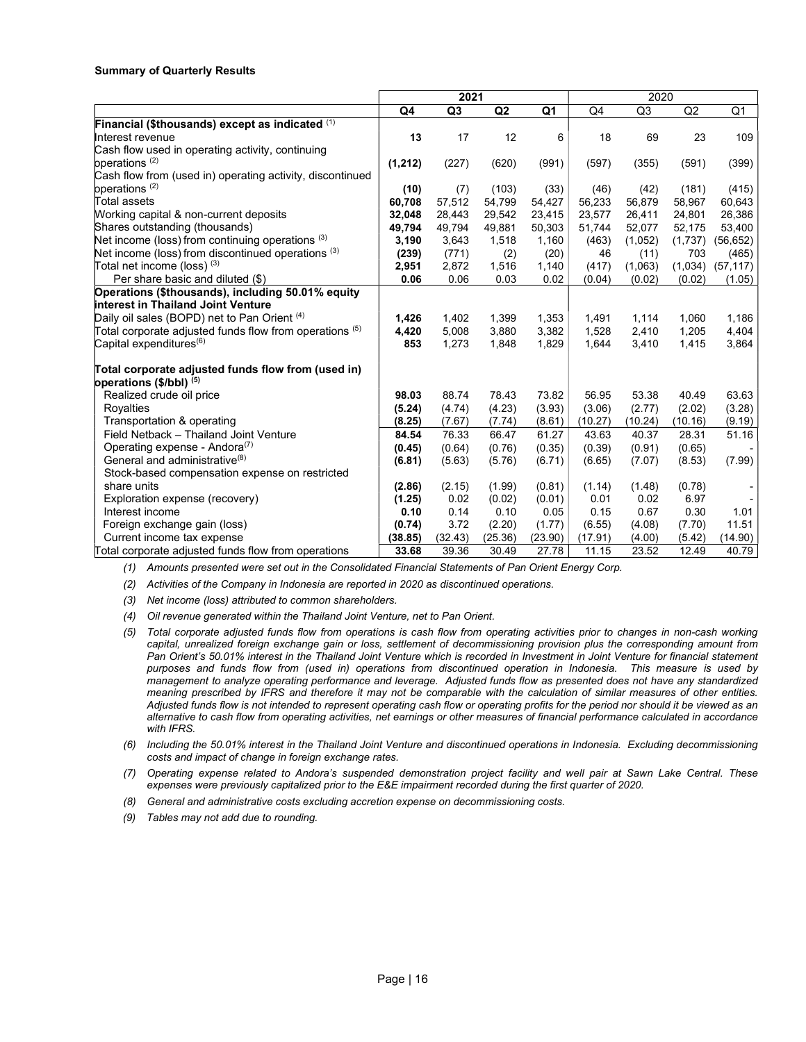## Summary of Quarterly Results

|                                                           | 2021     |                |         |                | 2020    |                |         |                |
|-----------------------------------------------------------|----------|----------------|---------|----------------|---------|----------------|---------|----------------|
|                                                           | Q4       | Q <sub>3</sub> | Q2      | Q <sub>1</sub> | Q4      | Q <sub>3</sub> | Q2      | Q <sub>1</sub> |
| Financial (\$thousands) except as indicated (1)           |          |                |         |                |         |                |         |                |
| Interest revenue                                          | 13       | 17             | 12      | 6              | 18      | 69             | 23      | 109            |
| Cash flow used in operating activity, continuing          |          |                |         |                |         |                |         |                |
| operations <sup>(2)</sup>                                 | (1, 212) | (227)          | (620)   | (991)          | (597)   | (355)          | (591)   | (399)          |
| Cash flow from (used in) operating activity, discontinued |          |                |         |                |         |                |         |                |
| operations <sup>(2)</sup>                                 | (10)     | (7)            | (103)   | (33)           | (46)    | (42)           | (181)   | (415)          |
| Total assets                                              | 60,708   | 57,512         | 54,799  | 54,427         | 56,233  | 56,879         | 58,967  | 60,643         |
| Working capital & non-current deposits                    | 32,048   | 28,443         | 29,542  | 23,415         | 23,577  | 26,411         | 24,801  | 26,386         |
| Shares outstanding (thousands)                            | 49,794   | 49,794         | 49,881  | 50,303         | 51,744  | 52,077         | 52,175  | 53,400         |
| Net income (loss) from continuing operations (3)          | 3,190    | 3,643          | 1,518   | 1,160          | (463)   | (1,052)        | (1,737) | (56, 652)      |
| Net income (loss) from discontinued operations (3)        | (239)    | (771)          | (2)     | (20)           | 46      | (11)           | 703     | (465)          |
| Total net income (loss) (3)                               | 2,951    | 2,872          | 1,516   | 1,140          | (417)   | (1,063)        | (1,034) | (57, 117)      |
| Per share basic and diluted (\$)                          | 0.06     | 0.06           | 0.03    | 0.02           | (0.04)  | (0.02)         | (0.02)  | (1.05)         |
| Operations (\$thousands), including 50.01% equity         |          |                |         |                |         |                |         |                |
| interest in Thailand Joint Venture                        |          |                |         |                |         |                |         |                |
| Daily oil sales (BOPD) net to Pan Orient (4)              | 1,426    | 1,402          | 1,399   | 1,353          | 1,491   | 1,114          | 1,060   | 1,186          |
| Total corporate adjusted funds flow from operations (5)   | 4,420    | 5,008          | 3,880   | 3,382          | 1,528   | 2,410          | 1,205   | 4,404          |
| Capital expenditures ${}^{(6)}$                           | 853      | 1,273          | 1,848   | 1,829          | 1,644   | 3,410          | 1,415   | 3,864          |
| Total corporate adjusted funds flow from (used in)        |          |                |         |                |         |                |         |                |
| operations (\$/bbl) (5)                                   |          |                |         |                |         |                |         |                |
| Realized crude oil price                                  | 98.03    | 88.74          | 78.43   | 73.82          | 56.95   | 53.38          | 40.49   | 63.63          |
| Royalties                                                 | (5.24)   | (4.74)         | (4.23)  | (3.93)         | (3.06)  | (2.77)         | (2.02)  | (3.28)         |
| Transportation & operating                                | (8.25)   | (7.67)         | (7.74)  | (8.61)         | (10.27) | (10.24)        | (10.16) | (9.19)         |
| Field Netback - Thailand Joint Venture                    | 84.54    | 76.33          | 66.47   | 61.27          | 43.63   | 40.37          | 28.31   | 51.16          |
| Operating expense - Andora <sup>(7)</sup>                 | (0.45)   | (0.64)         | (0.76)  | (0.35)         | (0.39)  | (0.91)         | (0.65)  |                |
| General and administrative <sup>(8)</sup>                 | (6.81)   | (5.63)         | (5.76)  | (6.71)         | (6.65)  | (7.07)         | (8.53)  | (7.99)         |
| Stock-based compensation expense on restricted            |          |                |         |                |         |                |         |                |
| share units                                               | (2.86)   | (2.15)         | (1.99)  | (0.81)         | (1.14)  | (1.48)         | (0.78)  |                |
| Exploration expense (recovery)                            | (1.25)   | 0.02           | (0.02)  | (0.01)         | 0.01    | 0.02           | 6.97    |                |
| Interest income                                           | 0.10     | 0.14           | 0.10    | 0.05           | 0.15    | 0.67           | 0.30    | 1.01           |
| Foreign exchange gain (loss)                              | (0.74)   | 3.72           | (2.20)  | (1.77)         | (6.55)  | (4.08)         | (7.70)  | 11.51          |
| Current income tax expense                                | (38.85)  | (32.43)        | (25.36) | (23.90)        | (17.91) | (4.00)         | (5.42)  | (14.90)        |
| Total corporate adjusted funds flow from operations       | 33.68    | 39.36          | 30.49   | 27.78          | 11.15   | 23.52          | 12.49   | 40.79          |

(1) Amounts presented were set out in the Consolidated Financial Statements of Pan Orient Energy Corp.

(2) Activities of the Company in Indonesia are reported in 2020 as discontinued operations.

(3) Net income (loss) attributed to common shareholders.

(4) Oil revenue generated within the Thailand Joint Venture, net to Pan Orient.

- (5) Total corporate adjusted funds flow from operations is cash flow from operating activities prior to changes in non-cash working capital, unrealized foreign exchange gain or loss, settlement of decommissioning provision plus the corresponding amount from Pan Orient's 50.01% interest in the Thailand Joint Venture which is recorded in Investment in Joint Venture for financial statement purposes and funds flow from (used in) operations from discontinued operation in Indonesia. This measure is used by management to analyze operating performance and leverage. Adjusted funds flow as presented does not have any standardized meaning prescribed by IFRS and therefore it may not be comparable with the calculation of similar measures of other entities. Adjusted funds flow is not intended to represent operating cash flow or operating profits for the period nor should it be viewed as an alternative to cash flow from operating activities, net earnings or other measures of financial performance calculated in accordance with IFRS.
- (6) Including the 50.01% interest in the Thailand Joint Venture and discontinued operations in Indonesia. Excluding decommissioning costs and impact of change in foreign exchange rates.
- (7) Operating expense related to Andora's suspended demonstration project facility and well pair at Sawn Lake Central. These expenses were previously capitalized prior to the E&E impairment recorded during the first quarter of 2020.
- (8) General and administrative costs excluding accretion expense on decommissioning costs.
- (9) Tables may not add due to rounding.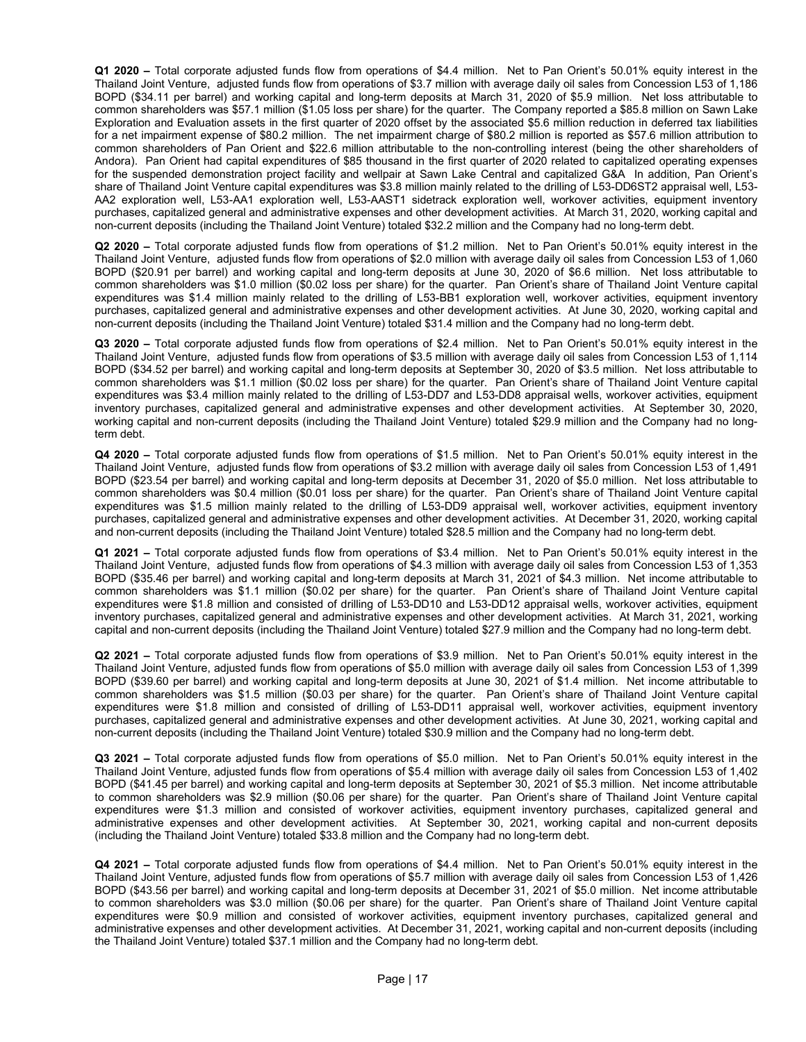Q1 2020 – Total corporate adjusted funds flow from operations of \$4.4 million. Net to Pan Orient's 50.01% equity interest in the Thailand Joint Venture, adjusted funds flow from operations of \$3.7 million with average daily oil sales from Concession L53 of 1,186 BOPD (\$34.11 per barrel) and working capital and long-term deposits at March 31, 2020 of \$5.9 million. Net loss attributable to common shareholders was \$57.1 million (\$1.05 loss per share) for the quarter. The Company reported a \$85.8 million on Sawn Lake Exploration and Evaluation assets in the first quarter of 2020 offset by the associated \$5.6 million reduction in deferred tax liabilities for a net impairment expense of \$80.2 million. The net impairment charge of \$80.2 million is reported as \$57.6 million attribution to common shareholders of Pan Orient and \$22.6 million attributable to the non-controlling interest (being the other shareholders of Andora). Pan Orient had capital expenditures of \$85 thousand in the first quarter of 2020 related to capitalized operating expenses for the suspended demonstration project facility and wellpair at Sawn Lake Central and capitalized G&A In addition, Pan Orient's share of Thailand Joint Venture capital expenditures was \$3.8 million mainly related to the drilling of L53-DD6ST2 appraisal well, L53- AA2 exploration well, L53-AA1 exploration well, L53-AAST1 sidetrack exploration well, workover activities, equipment inventory purchases, capitalized general and administrative expenses and other development activities. At March 31, 2020, working capital and non-current deposits (including the Thailand Joint Venture) totaled \$32.2 million and the Company had no long-term debt.

Q2 2020 – Total corporate adjusted funds flow from operations of \$1.2 million. Net to Pan Orient's 50.01% equity interest in the Thailand Joint Venture, adjusted funds flow from operations of \$2.0 million with average daily oil sales from Concession L53 of 1,060 BOPD (\$20.91 per barrel) and working capital and long-term deposits at June 30, 2020 of \$6.6 million. Net loss attributable to common shareholders was \$1.0 million (\$0.02 loss per share) for the quarter. Pan Orient's share of Thailand Joint Venture capital expenditures was \$1.4 million mainly related to the drilling of L53-BB1 exploration well, workover activities, equipment inventory purchases, capitalized general and administrative expenses and other development activities. At June 30, 2020, working capital and non-current deposits (including the Thailand Joint Venture) totaled \$31.4 million and the Company had no long-term debt.

Q3 2020 – Total corporate adjusted funds flow from operations of \$2.4 million. Net to Pan Orient's 50.01% equity interest in the Thailand Joint Venture, adjusted funds flow from operations of \$3.5 million with average daily oil sales from Concession L53 of 1,114 BOPD (\$34.52 per barrel) and working capital and long-term deposits at September 30, 2020 of \$3.5 million. Net loss attributable to common shareholders was \$1.1 million (\$0.02 loss per share) for the quarter. Pan Orient's share of Thailand Joint Venture capital expenditures was \$3.4 million mainly related to the drilling of L53-DD7 and L53-DD8 appraisal wells, workover activities, equipment inventory purchases, capitalized general and administrative expenses and other development activities. At September 30, 2020, working capital and non-current deposits (including the Thailand Joint Venture) totaled \$29.9 million and the Company had no longterm debt.

Q4 2020 – Total corporate adjusted funds flow from operations of \$1.5 million. Net to Pan Orient's 50.01% equity interest in the Thailand Joint Venture, adjusted funds flow from operations of \$3.2 million with average daily oil sales from Concession L53 of 1,491 BOPD (\$23.54 per barrel) and working capital and long-term deposits at December 31, 2020 of \$5.0 million. Net loss attributable to common shareholders was \$0.4 million (\$0.01 loss per share) for the quarter. Pan Orient's share of Thailand Joint Venture capital expenditures was \$1.5 million mainly related to the drilling of L53-DD9 appraisal well, workover activities, equipment inventory purchases, capitalized general and administrative expenses and other development activities. At December 31, 2020, working capital and non-current deposits (including the Thailand Joint Venture) totaled \$28.5 million and the Company had no long-term debt.

Q1 2021 – Total corporate adjusted funds flow from operations of \$3.4 million. Net to Pan Orient's 50.01% equity interest in the Thailand Joint Venture, adjusted funds flow from operations of \$4.3 million with average daily oil sales from Concession L53 of 1,353 BOPD (\$35.46 per barrel) and working capital and long-term deposits at March 31, 2021 of \$4.3 million. Net income attributable to common shareholders was \$1.1 million (\$0.02 per share) for the quarter. Pan Orient's share of Thailand Joint Venture capital expenditures were \$1.8 million and consisted of drilling of L53-DD10 and L53-DD12 appraisal wells, workover activities, equipment inventory purchases, capitalized general and administrative expenses and other development activities. At March 31, 2021, working capital and non-current deposits (including the Thailand Joint Venture) totaled \$27.9 million and the Company had no long-term debt.

Q2 2021 – Total corporate adjusted funds flow from operations of \$3.9 million. Net to Pan Orient's 50.01% equity interest in the Thailand Joint Venture, adjusted funds flow from operations of \$5.0 million with average daily oil sales from Concession L53 of 1,399 BOPD (\$39.60 per barrel) and working capital and long-term deposits at June 30, 2021 of \$1.4 million. Net income attributable to common shareholders was \$1.5 million (\$0.03 per share) for the quarter. Pan Orient's share of Thailand Joint Venture capital expenditures were \$1.8 million and consisted of drilling of L53-DD11 appraisal well, workover activities, equipment inventory purchases, capitalized general and administrative expenses and other development activities. At June 30, 2021, working capital and non-current deposits (including the Thailand Joint Venture) totaled \$30.9 million and the Company had no long-term debt.

Q3 2021 – Total corporate adjusted funds flow from operations of \$5.0 million. Net to Pan Orient's 50.01% equity interest in the Thailand Joint Venture, adjusted funds flow from operations of \$5.4 million with average daily oil sales from Concession L53 of 1,402 BOPD (\$41.45 per barrel) and working capital and long-term deposits at September 30, 2021 of \$5.3 million. Net income attributable to common shareholders was \$2.9 million (\$0.06 per share) for the quarter. Pan Orient's share of Thailand Joint Venture capital expenditures were \$1.3 million and consisted of workover activities, equipment inventory purchases, capitalized general and administrative expenses and other development activities. At September 30, 2021, working capital and non-current deposits (including the Thailand Joint Venture) totaled \$33.8 million and the Company had no long-term debt.

Q4 2021 – Total corporate adjusted funds flow from operations of \$4.4 million. Net to Pan Orient's 50.01% equity interest in the Thailand Joint Venture, adjusted funds flow from operations of \$5.7 million with average daily oil sales from Concession L53 of 1,426 BOPD (\$43.56 per barrel) and working capital and long-term deposits at December 31, 2021 of \$5.0 million. Net income attributable to common shareholders was \$3.0 million (\$0.06 per share) for the quarter. Pan Orient's share of Thailand Joint Venture capital expenditures were \$0.9 million and consisted of workover activities, equipment inventory purchases, capitalized general and administrative expenses and other development activities. At December 31, 2021, working capital and non-current deposits (including the Thailand Joint Venture) totaled \$37.1 million and the Company had no long-term debt.